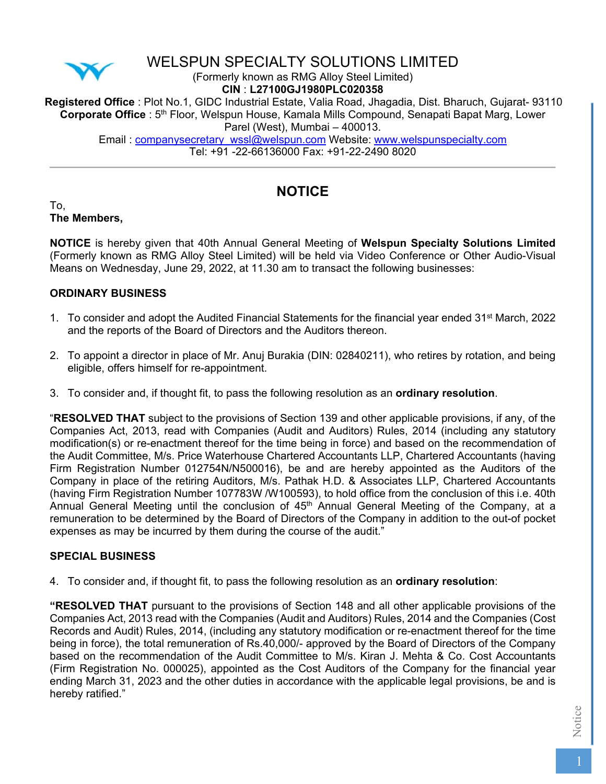

# WELSPUN SPECIALTY SOLUTIONS LIMITED

(Formerly known as RMG Alloy Steel Limited)

**CIN** : **L27100GJ1980PLC020358**

**Registered Office** : Plot No.1, GIDC Industrial Estate, Valia Road, Jhagadia, Dist. Bharuch, Gujarat- 93110 **Corporate Office** : 5th Floor, Welspun House, Kamala Mills Compound, Senapati Bapat Marg, Lower Parel (West), Mumbai – 400013.

Email: companysecretary\_wssl@welspun.com Website: www.welspunspecialty.com Tel: +91 -22-66136000 Fax: +91-22-2490 8020

# **NOTICE**

To, **The Members,** 

**NOTICE** is hereby given that 40th Annual General Meeting of **Welspun Specialty Solutions Limited** (Formerly known as RMG Alloy Steel Limited) will be held via Video Conference or Other Audio-Visual Means on Wednesday, June 29, 2022, at 11.30 am to transact the following businesses:

### **ORDINARY BUSINESS**

- 1. To consider and adopt the Audited Financial Statements for the financial year ended 31<sup>st</sup> March, 2022 and the reports of the Board of Directors and the Auditors thereon.
- 2. To appoint a director in place of Mr. Anuj Burakia (DIN: 02840211), who retires by rotation, and being eligible, offers himself for re-appointment.
- 3. To consider and, if thought fit, to pass the following resolution as an **ordinary resolution**.

"**RESOLVED THAT** subject to the provisions of Section 139 and other applicable provisions, if any, of the Companies Act, 2013, read with Companies (Audit and Auditors) Rules, 2014 (including any statutory modification(s) or re-enactment thereof for the time being in force) and based on the recommendation of the Audit Committee, M/s. Price Waterhouse Chartered Accountants LLP, Chartered Accountants (having Firm Registration Number 012754N/N500016), be and are hereby appointed as the Auditors of the Company in place of the retiring Auditors, M/s. Pathak H.D. & Associates LLP, Chartered Accountants (having Firm Registration Number 107783W /W100593), to hold office from the conclusion of this i.e. 40th Annual General Meeting until the conclusion of 45<sup>th</sup> Annual General Meeting of the Company, at a remuneration to be determined by the Board of Directors of the Company in addition to the out-of pocket expenses as may be incurred by them during the course of the audit."

### **SPECIAL BUSINESS**

4. To consider and, if thought fit, to pass the following resolution as an **ordinary resolution**:

**"RESOLVED THAT** pursuant to the provisions of Section 148 and all other applicable provisions of the Companies Act, 2013 read with the Companies (Audit and Auditors) Rules, 2014 and the Companies (Cost Records and Audit) Rules, 2014, (including any statutory modification or re-enactment thereof for the time being in force), the total remuneration of Rs.40,000/- approved by the Board of Directors of the Company based on the recommendation of the Audit Committee to M/s. Kiran J. Mehta & Co. Cost Accountants (Firm Registration No. 000025), appointed as the Cost Auditors of the Company for the financial year ending March 31, 2023 and the other duties in accordance with the applicable legal provisions, be and is hereby ratified."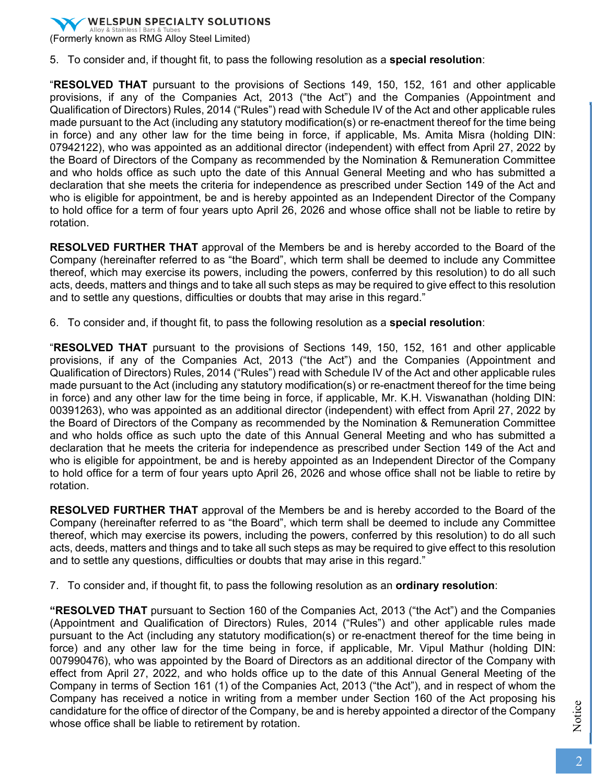

5. To consider and, if thought fit, to pass the following resolution as a **special resolution**:

"**RESOLVED THAT** pursuant to the provisions of Sections 149, 150, 152, 161 and other applicable provisions, if any of the Companies Act, 2013 ("the Act") and the Companies (Appointment and Qualification of Directors) Rules, 2014 ("Rules") read with Schedule IV of the Act and other applicable rules made pursuant to the Act (including any statutory modification(s) or re-enactment thereof for the time being in force) and any other law for the time being in force, if applicable, Ms. Amita Misra (holding DIN: 07942122), who was appointed as an additional director (independent) with effect from April 27, 2022 by the Board of Directors of the Company as recommended by the Nomination & Remuneration Committee and who holds office as such upto the date of this Annual General Meeting and who has submitted a declaration that she meets the criteria for independence as prescribed under Section 149 of the Act and who is eligible for appointment, be and is hereby appointed as an Independent Director of the Company to hold office for a term of four years upto April 26, 2026 and whose office shall not be liable to retire by rotation.

**RESOLVED FURTHER THAT** approval of the Members be and is hereby accorded to the Board of the Company (hereinafter referred to as "the Board", which term shall be deemed to include any Committee thereof, which may exercise its powers, including the powers, conferred by this resolution) to do all such acts, deeds, matters and things and to take all such steps as may be required to give effect to this resolution and to settle any questions, difficulties or doubts that may arise in this regard."

6. To consider and, if thought fit, to pass the following resolution as a **special resolution**:

"**RESOLVED THAT** pursuant to the provisions of Sections 149, 150, 152, 161 and other applicable provisions, if any of the Companies Act, 2013 ("the Act") and the Companies (Appointment and Qualification of Directors) Rules, 2014 ("Rules") read with Schedule IV of the Act and other applicable rules made pursuant to the Act (including any statutory modification(s) or re-enactment thereof for the time being in force) and any other law for the time being in force, if applicable, Mr. K.H. Viswanathan (holding DIN: 00391263), who was appointed as an additional director (independent) with effect from April 27, 2022 by the Board of Directors of the Company as recommended by the Nomination & Remuneration Committee and who holds office as such upto the date of this Annual General Meeting and who has submitted a declaration that he meets the criteria for independence as prescribed under Section 149 of the Act and who is eligible for appointment, be and is hereby appointed as an Independent Director of the Company to hold office for a term of four years upto April 26, 2026 and whose office shall not be liable to retire by rotation.

**RESOLVED FURTHER THAT** approval of the Members be and is hereby accorded to the Board of the Company (hereinafter referred to as "the Board", which term shall be deemed to include any Committee thereof, which may exercise its powers, including the powers, conferred by this resolution) to do all such acts, deeds, matters and things and to take all such steps as may be required to give effect to this resolution and to settle any questions, difficulties or doubts that may arise in this regard."

7. To consider and, if thought fit, to pass the following resolution as an **ordinary resolution**:

**"RESOLVED THAT** pursuant to Section 160 of the Companies Act, 2013 ("the Act") and the Companies (Appointment and Qualification of Directors) Rules, 2014 ("Rules") and other applicable rules made pursuant to the Act (including any statutory modification(s) or re-enactment thereof for the time being in force) and any other law for the time being in force, if applicable, Mr. Vipul Mathur (holding DIN: 007990476), who was appointed by the Board of Directors as an additional director of the Company with effect from April 27, 2022, and who holds office up to the date of this Annual General Meeting of the Company in terms of Section 161 (1) of the Companies Act, 2013 ("the Act"), and in respect of whom the Company has received a notice in writing from a member under Section 160 of the Act proposing his candidature for the office of director of the Company, be and is hereby appointed a director of the Company whose office shall be liable to retirement by rotation.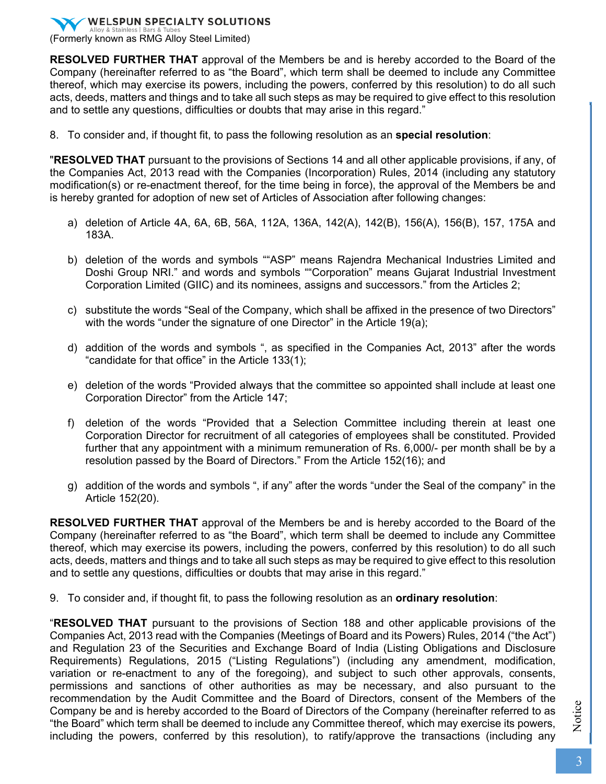(Formerly known as RMG Alloy Steel Limited)

**RESOLVED FURTHER THAT** approval of the Members be and is hereby accorded to the Board of the Company (hereinafter referred to as "the Board", which term shall be deemed to include any Committee thereof, which may exercise its powers, including the powers, conferred by this resolution) to do all such acts, deeds, matters and things and to take all such steps as may be required to give effect to this resolution and to settle any questions, difficulties or doubts that may arise in this regard."

8. To consider and, if thought fit, to pass the following resolution as an **special resolution**:

"**RESOLVED THAT** pursuant to the provisions of Sections 14 and all other applicable provisions, if any, of the Companies Act, 2013 read with the Companies (Incorporation) Rules, 2014 (including any statutory modification(s) or re-enactment thereof, for the time being in force), the approval of the Members be and is hereby granted for adoption of new set of Articles of Association after following changes:

- a) deletion of Article 4A, 6A, 6B, 56A, 112A, 136A, 142(A), 142(B), 156(A), 156(B), 157, 175A and 183A.
- b) deletion of the words and symbols ""ASP" means Rajendra Mechanical Industries Limited and Doshi Group NRI." and words and symbols ""Corporation" means Gujarat Industrial Investment Corporation Limited (GIIC) and its nominees, assigns and successors." from the Articles 2;
- c) substitute the words "Seal of the Company, which shall be affixed in the presence of two Directors" with the words "under the signature of one Director" in the Article 19(a):
- d) addition of the words and symbols ", as specified in the Companies Act, 2013" after the words "candidate for that office" in the Article 133(1);
- e) deletion of the words "Provided always that the committee so appointed shall include at least one Corporation Director" from the Article 147;
- f) deletion of the words "Provided that a Selection Committee including therein at least one Corporation Director for recruitment of all categories of employees shall be constituted. Provided further that any appointment with a minimum remuneration of Rs. 6,000/- per month shall be by a resolution passed by the Board of Directors." From the Article 152(16); and
- g) addition of the words and symbols ", if any" after the words "under the Seal of the company" in the Article 152(20).

**RESOLVED FURTHER THAT** approval of the Members be and is hereby accorded to the Board of the Company (hereinafter referred to as "the Board", which term shall be deemed to include any Committee thereof, which may exercise its powers, including the powers, conferred by this resolution) to do all such acts, deeds, matters and things and to take all such steps as may be required to give effect to this resolution and to settle any questions, difficulties or doubts that may arise in this regard."

9. To consider and, if thought fit, to pass the following resolution as an **ordinary resolution**:

"**RESOLVED THAT** pursuant to the provisions of Section 188 and other applicable provisions of the Companies Act, 2013 read with the Companies (Meetings of Board and its Powers) Rules, 2014 ("the Act") and Regulation 23 of the Securities and Exchange Board of India (Listing Obligations and Disclosure Requirements) Regulations, 2015 ("Listing Regulations") (including any amendment, modification, variation or re-enactment to any of the foregoing), and subject to such other approvals, consents, permissions and sanctions of other authorities as may be necessary, and also pursuant to the recommendation by the Audit Committee and the Board of Directors, consent of the Members of the Company be and is hereby accorded to the Board of Directors of the Company (hereinafter referred to as "the Board" which term shall be deemed to include any Committee thereof, which may exercise its powers, including the powers, conferred by this resolution), to ratify/approve the transactions (including any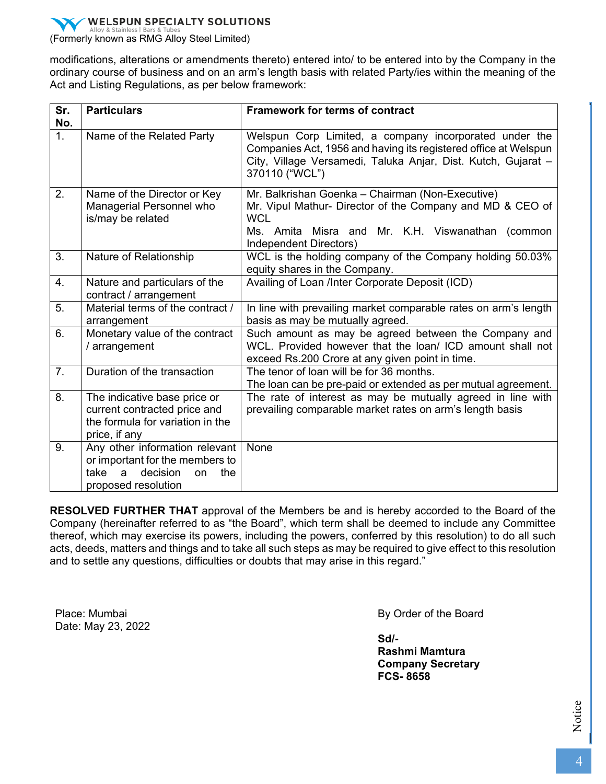

(Formerly known as RMG Alloy Steel Limited)

modifications, alterations or amendments thereto) entered into/ to be entered into by the Company in the ordinary course of business and on an arm's length basis with related Party/ies within the meaning of the Act and Listing Regulations, as per below framework:

| Sr.<br>No.     | <b>Particulars</b>                                                                                                             | Framework for terms of contract                                                                                                                                                                              |
|----------------|--------------------------------------------------------------------------------------------------------------------------------|--------------------------------------------------------------------------------------------------------------------------------------------------------------------------------------------------------------|
| 1 <sub>1</sub> | Name of the Related Party                                                                                                      | Welspun Corp Limited, a company incorporated under the<br>Companies Act, 1956 and having its registered office at Welspun<br>City, Village Versamedi, Taluka Anjar, Dist. Kutch, Gujarat -<br>370110 ("WCL") |
| 2.             | Name of the Director or Key<br>Managerial Personnel who<br>is/may be related                                                   | Mr. Balkrishan Goenka - Chairman (Non-Executive)<br>Mr. Vipul Mathur- Director of the Company and MD & CEO of<br><b>WCL</b><br>Ms. Amita Misra and Mr. K.H. Viswanathan (common<br>Independent Directors)    |
| 3.             | Nature of Relationship                                                                                                         | WCL is the holding company of the Company holding 50.03%<br>equity shares in the Company.                                                                                                                    |
| 4.             | Nature and particulars of the<br>contract / arrangement                                                                        | Availing of Loan /Inter Corporate Deposit (ICD)                                                                                                                                                              |
| 5.             | Material terms of the contract /<br>arrangement                                                                                | In line with prevailing market comparable rates on arm's length<br>basis as may be mutually agreed.                                                                                                          |
| 6.             | Monetary value of the contract<br>/ arrangement                                                                                | Such amount as may be agreed between the Company and<br>WCL. Provided however that the loan/ ICD amount shall not<br>exceed Rs.200 Crore at any given point in time.                                         |
| 7.             | Duration of the transaction                                                                                                    | The tenor of loan will be for 36 months.<br>The loan can be pre-paid or extended as per mutual agreement.                                                                                                    |
| 8.             | The indicative base price or<br>current contracted price and<br>the formula for variation in the<br>price, if any              | The rate of interest as may be mutually agreed in line with<br>prevailing comparable market rates on arm's length basis                                                                                      |
| 9.             | Any other information relevant<br>or important for the members to<br>decision<br>take<br>the<br>a<br>on<br>proposed resolution | None                                                                                                                                                                                                         |

**RESOLVED FURTHER THAT** approval of the Members be and is hereby accorded to the Board of the Company (hereinafter referred to as "the Board", which term shall be deemed to include any Committee thereof, which may exercise its powers, including the powers, conferred by this resolution) to do all such acts, deeds, matters and things and to take all such steps as may be required to give effect to this resolution and to settle any questions, difficulties or doubts that may arise in this regard."

 Place: Mumbai Date: May 23, 2022 By Order of the Board

**Sd/- Rashmi Mamtura Company Secretary FCS- 8658**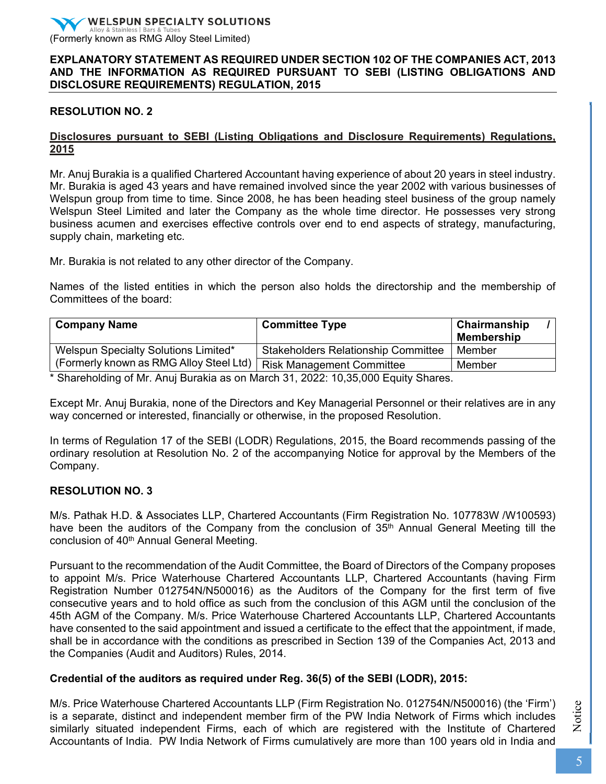### **EXPLANATORY STATEMENT AS REQUIRED UNDER SECTION 102 OF THE COMPANIES ACT, 2013 AND THE INFORMATION AS REQUIRED PURSUANT TO SEBI (LISTING OBLIGATIONS AND DISCLOSURE REQUIREMENTS) REGULATION, 2015**

### **RESOLUTION NO. 2**

### **Disclosures pursuant to SEBI (Listing Obligations and Disclosure Requirements) Regulations, 2015**

Mr. Anuj Burakia is a qualified Chartered Accountant having experience of about 20 years in steel industry. Mr. Burakia is aged 43 years and have remained involved since the year 2002 with various businesses of Welspun group from time to time. Since 2008, he has been heading steel business of the group namely Welspun Steel Limited and later the Company as the whole time director. He possesses very strong business acumen and exercises effective controls over end to end aspects of strategy, manufacturing, supply chain, marketing etc.

Mr. Burakia is not related to any other director of the Company.

Names of the listed entities in which the person also holds the directorship and the membership of Committees of the board:

| <b>Company Name</b>                     | <b>Committee Type</b>                      | Chairmanship<br><b>Membership</b> |
|-----------------------------------------|--------------------------------------------|-----------------------------------|
| Welspun Specialty Solutions Limited*    | <b>Stakeholders Relationship Committee</b> | Member                            |
| (Formerly known as RMG Alloy Steel Ltd) | <b>Risk Management Committee</b>           | Member                            |

\* Shareholding of Mr. Anuj Burakia as on March 31, 2022: 10,35,000 Equity Shares.

Except Mr. Anuj Burakia, none of the Directors and Key Managerial Personnel or their relatives are in any way concerned or interested, financially or otherwise, in the proposed Resolution.

In terms of Regulation 17 of the SEBI (LODR) Regulations, 2015, the Board recommends passing of the ordinary resolution at Resolution No. 2 of the accompanying Notice for approval by the Members of the Company.

### **RESOLUTION NO. 3**

M/s. Pathak H.D. & Associates LLP, Chartered Accountants (Firm Registration No. 107783W /W100593) have been the auditors of the Company from the conclusion of 35<sup>th</sup> Annual General Meeting till the conclusion of 40<sup>th</sup> Annual General Meeting.

Pursuant to the recommendation of the Audit Committee, the Board of Directors of the Company proposes to appoint M/s. Price Waterhouse Chartered Accountants LLP, Chartered Accountants (having Firm Registration Number 012754N/N500016) as the Auditors of the Company for the first term of five consecutive years and to hold office as such from the conclusion of this AGM until the conclusion of the 45th AGM of the Company. M/s. Price Waterhouse Chartered Accountants LLP, Chartered Accountants have consented to the said appointment and issued a certificate to the effect that the appointment, if made, shall be in accordance with the conditions as prescribed in Section 139 of the Companies Act, 2013 and the Companies (Audit and Auditors) Rules, 2014.

### **Credential of the auditors as required under Reg. 36(5) of the SEBI (LODR), 2015:**

M/s. Price Waterhouse Chartered Accountants LLP (Firm Registration No. 012754N/N500016) (the 'Firm') is a separate, distinct and independent member firm of the PW India Network of Firms which includes similarly situated independent Firms, each of which are registered with the Institute of Chartered Accountants of India. PW India Network of Firms cumulatively are more than 100 years old in India and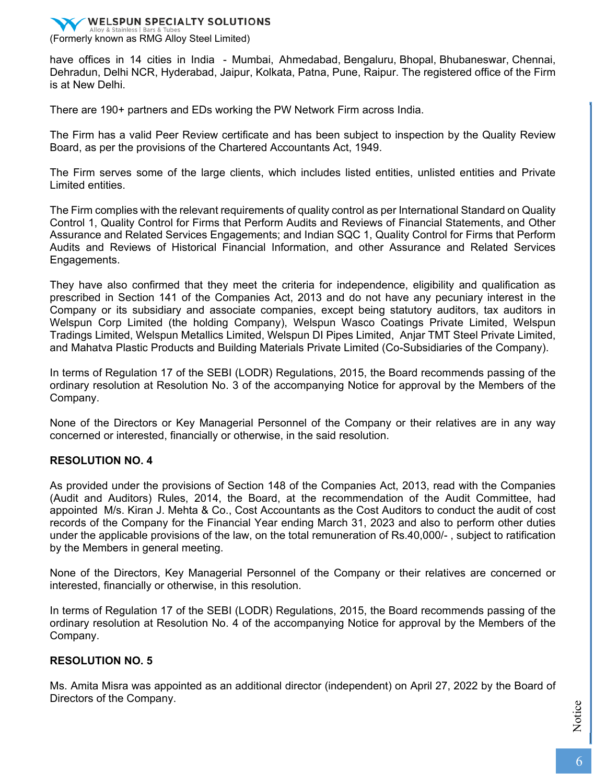

have offices in 14 cities in India - Mumbai, Ahmedabad, Bengaluru, Bhopal, Bhubaneswar, Chennai, Dehradun, Delhi NCR, Hyderabad, Jaipur, Kolkata, Patna, Pune, Raipur. The registered office of the Firm is at New Delhi.

There are 190+ partners and EDs working the PW Network Firm across India.

The Firm has a valid Peer Review certificate and has been subject to inspection by the Quality Review Board, as per the provisions of the Chartered Accountants Act, 1949.

The Firm serves some of the large clients, which includes listed entities, unlisted entities and Private Limited entities.

The Firm complies with the relevant requirements of quality control as per International Standard on Quality Control 1, Quality Control for Firms that Perform Audits and Reviews of Financial Statements, and Other Assurance and Related Services Engagements; and Indian SQC 1, Quality Control for Firms that Perform Audits and Reviews of Historical Financial Information, and other Assurance and Related Services Engagements.

They have also confirmed that they meet the criteria for independence, eligibility and qualification as prescribed in Section 141 of the Companies Act, 2013 and do not have any pecuniary interest in the Company or its subsidiary and associate companies, except being statutory auditors, tax auditors in Welspun Corp Limited (the holding Company), Welspun Wasco Coatings Private Limited, Welspun Tradings Limited, Welspun Metallics Limited, Welspun DI Pipes Limited, Anjar TMT Steel Private Limited, and Mahatva Plastic Products and Building Materials Private Limited (Co-Subsidiaries of the Company).

In terms of Regulation 17 of the SEBI (LODR) Regulations, 2015, the Board recommends passing of the ordinary resolution at Resolution No. 3 of the accompanying Notice for approval by the Members of the Company.

None of the Directors or Key Managerial Personnel of the Company or their relatives are in any way concerned or interested, financially or otherwise, in the said resolution.

### **RESOLUTION NO. 4**

As provided under the provisions of Section 148 of the Companies Act, 2013, read with the Companies (Audit and Auditors) Rules, 2014, the Board, at the recommendation of the Audit Committee, had appointed M/s. Kiran J. Mehta & Co., Cost Accountants as the Cost Auditors to conduct the audit of cost records of the Company for the Financial Year ending March 31, 2023 and also to perform other duties under the applicable provisions of the law, on the total remuneration of Rs.40,000/- , subject to ratification by the Members in general meeting.

None of the Directors, Key Managerial Personnel of the Company or their relatives are concerned or interested, financially or otherwise, in this resolution.

In terms of Regulation 17 of the SEBI (LODR) Regulations, 2015, the Board recommends passing of the ordinary resolution at Resolution No. 4 of the accompanying Notice for approval by the Members of the Company.

### **RESOLUTION NO. 5**

Ms. Amita Misra was appointed as an additional director (independent) on April 27, 2022 by the Board of Directors of the Company.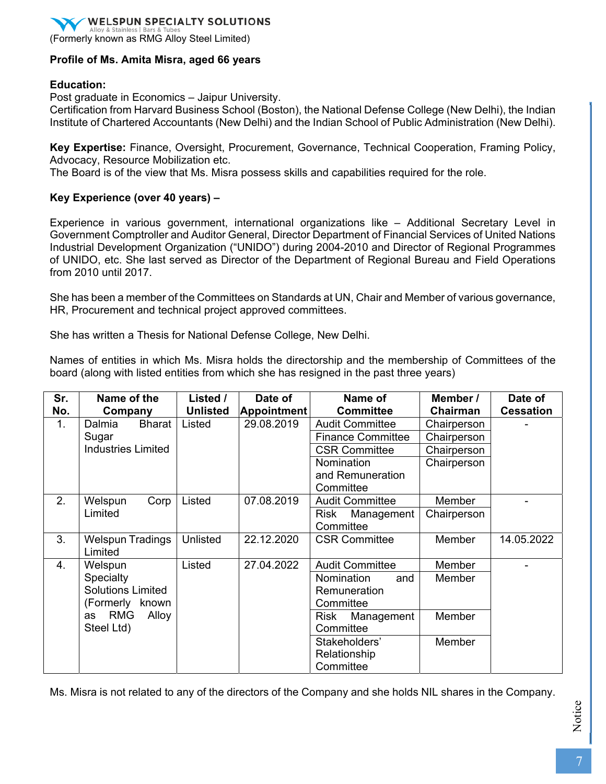(Formerly known as RMG Alloy Steel Limited)

### **Profile of Ms. Amita Misra, aged 66 years**

#### **Education:**

Post graduate in Economics – Jaipur University.

Certification from Harvard Business School (Boston), the National Defense College (New Delhi), the Indian Institute of Chartered Accountants (New Delhi) and the Indian School of Public Administration (New Delhi).

**Key Expertise:** Finance, Oversight, Procurement, Governance, Technical Cooperation, Framing Policy, Advocacy, Resource Mobilization etc.

The Board is of the view that Ms. Misra possess skills and capabilities required for the role.

#### **Key Experience (over 40 years) –**

Experience in various government, international organizations like – Additional Secretary Level in Government Comptroller and Auditor General, Director Department of Financial Services of United Nations Industrial Development Organization ("UNIDO") during 2004-2010 and Director of Regional Programmes of UNIDO, etc. She last served as Director of the Department of Regional Bureau and Field Operations from 2010 until 2017.

She has been a member of the Committees on Standards at UN, Chair and Member of various governance, HR, Procurement and technical project approved committees.

She has written a Thesis for National Defense College, New Delhi.

Names of entities in which Ms. Misra holds the directorship and the membership of Committees of the board (along with listed entities from which she has resigned in the past three years)

| Sr. | Name of the               | Listed /        | Date of            | Name of                  | Member /    | Date of          |
|-----|---------------------------|-----------------|--------------------|--------------------------|-------------|------------------|
| No. | Company                   | <b>Unlisted</b> | <b>Appointment</b> | <b>Committee</b>         |             | <b>Cessation</b> |
| 1.  | <b>Bharat</b><br>Dalmia   | Listed          | 29.08.2019         | <b>Audit Committee</b>   | Chairperson |                  |
|     | Sugar                     |                 |                    | <b>Finance Committee</b> | Chairperson |                  |
|     | <b>Industries Limited</b> |                 |                    | <b>CSR Committee</b>     | Chairperson |                  |
|     |                           |                 |                    | Nomination               | Chairperson |                  |
|     |                           |                 |                    | and Remuneration         |             |                  |
|     |                           |                 |                    | Committee                |             |                  |
| 2.  | Welspun<br>Corp           | Listed          | 07.08.2019         | <b>Audit Committee</b>   | Member      |                  |
|     | Limited                   |                 |                    | Risk<br>Management       | Chairperson |                  |
|     |                           |                 |                    | Committee                |             |                  |
| 3.  | <b>Welspun Tradings</b>   | Unlisted        | 22.12.2020         | <b>CSR Committee</b>     | Member      | 14.05.2022       |
|     | Limited                   |                 |                    |                          |             |                  |
| 4.  | Welspun                   | Listed          | 27.04.2022         | <b>Audit Committee</b>   | Member      |                  |
|     | Specialty                 |                 |                    | Nomination<br>and        | Member      |                  |
|     | <b>Solutions Limited</b>  |                 |                    | Remuneration             |             |                  |
|     | (Formerly known)          |                 |                    | Committee                |             |                  |
|     | <b>RMG</b><br>Alloy<br>as |                 |                    | Management<br>Risk       | Member      |                  |
|     | Steel Ltd)                |                 |                    | Committee                |             |                  |
|     |                           |                 |                    | Stakeholders'            | Member      |                  |
|     |                           |                 |                    | Relationship             |             |                  |
|     |                           |                 |                    | Committee                |             |                  |

Ms. Misra is not related to any of the directors of the Company and she holds NIL shares in the Company.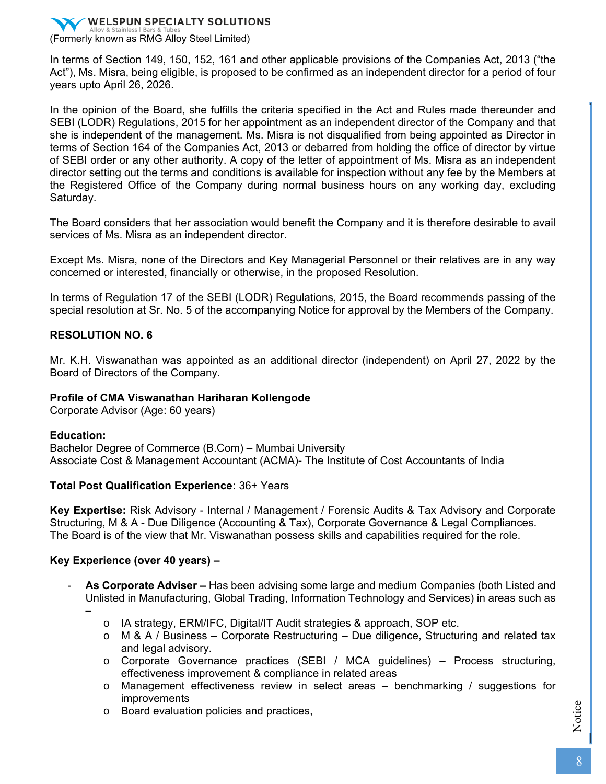

In terms of Section 149, 150, 152, 161 and other applicable provisions of the Companies Act, 2013 ("the Act"), Ms. Misra, being eligible, is proposed to be confirmed as an independent director for a period of four years upto April 26, 2026.

In the opinion of the Board, she fulfills the criteria specified in the Act and Rules made thereunder and SEBI (LODR) Regulations, 2015 for her appointment as an independent director of the Company and that she is independent of the management. Ms. Misra is not disqualified from being appointed as Director in terms of Section 164 of the Companies Act, 2013 or debarred from holding the office of director by virtue of SEBI order or any other authority. A copy of the letter of appointment of Ms. Misra as an independent director setting out the terms and conditions is available for inspection without any fee by the Members at the Registered Office of the Company during normal business hours on any working day, excluding Saturday.

The Board considers that her association would benefit the Company and it is therefore desirable to avail services of Ms. Misra as an independent director.

Except Ms. Misra, none of the Directors and Key Managerial Personnel or their relatives are in any way concerned or interested, financially or otherwise, in the proposed Resolution.

In terms of Regulation 17 of the SEBI (LODR) Regulations, 2015, the Board recommends passing of the special resolution at Sr. No. 5 of the accompanying Notice for approval by the Members of the Company.

#### **RESOLUTION NO. 6**

Mr. K.H. Viswanathan was appointed as an additional director (independent) on April 27, 2022 by the Board of Directors of the Company.

#### **Profile of CMA Viswanathan Hariharan Kollengode**

Corporate Advisor (Age: 60 years)

#### **Education:**

Bachelor Degree of Commerce (B.Com) – Mumbai University Associate Cost & Management Accountant (ACMA)- The Institute of Cost Accountants of India

#### **Total Post Qualification Experience:** 36+ Years

**Key Expertise:** Risk Advisory - Internal / Management / Forensic Audits & Tax Advisory and Corporate Structuring, M & A - Due Diligence (Accounting & Tax), Corporate Governance & Legal Compliances. The Board is of the view that Mr. Viswanathan possess skills and capabilities required for the role.

#### **Key Experience (over 40 years) –**

- **As Corporate Adviser –** Has been advising some large and medium Companies (both Listed and Unlisted in Manufacturing, Global Trading, Information Technology and Services) in areas such as –
	- o IA strategy, ERM/IFC, Digital/IT Audit strategies & approach, SOP etc.
	- $\circ$  M & A / Business Corporate Restructuring Due diligence, Structuring and related tax and legal advisory.
	- o Corporate Governance practices (SEBI / MCA guidelines) Process structuring, effectiveness improvement & compliance in related areas
	- o Management effectiveness review in select areas benchmarking / suggestions for improvements
	- o Board evaluation policies and practices,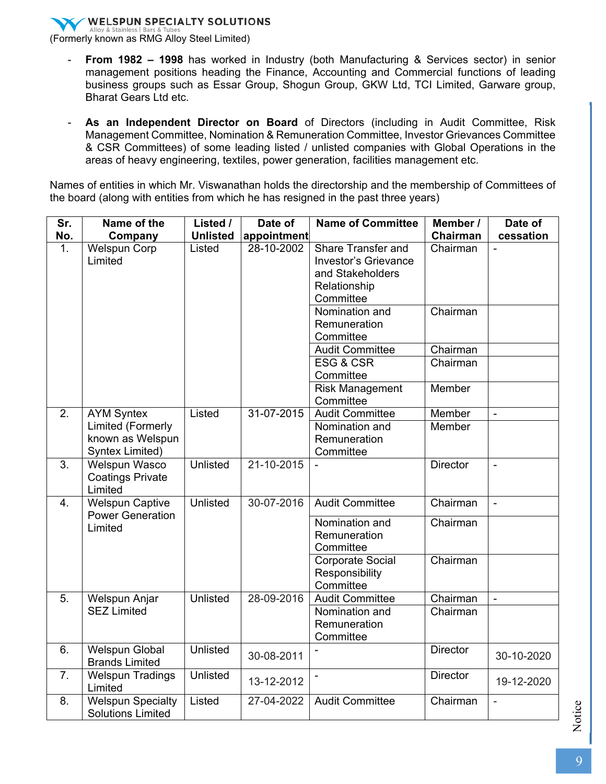(Formerly known as RMG Alloy Steel Limited)

- From 1982 1998 has worked in Industry (both Manufacturing & Services sector) in senior management positions heading the Finance, Accounting and Commercial functions of leading business groups such as Essar Group, Shogun Group, GKW Ltd, TCI Limited, Garware group, Bharat Gears Ltd etc.
- **As an Independent Director on Board** of Directors (including in Audit Committee, Risk Management Committee, Nomination & Remuneration Committee, Investor Grievances Committee & CSR Committees) of some leading listed / unlisted companies with Global Operations in the areas of heavy engineering, textiles, power generation, facilities management etc.

Names of entities in which Mr. Viswanathan holds the directorship and the membership of Committees of the board (along with entities from which he has resigned in the past three years)

| Sr.              | Name of the                                                     | Listed /        | Date of     | <b>Name of Committee</b>                                                                                  |                 | Date of                  |
|------------------|-----------------------------------------------------------------|-----------------|-------------|-----------------------------------------------------------------------------------------------------------|-----------------|--------------------------|
| No.              | Company                                                         | <b>Unlisted</b> | appointment |                                                                                                           | Chairman        | cessation                |
| 1.               | <b>Welspun Corp</b><br>Limited                                  | Listed          | 28-10-2002  | <b>Share Transfer and</b><br><b>Investor's Grievance</b><br>and Stakeholders<br>Relationship<br>Committee | Chairman        |                          |
|                  |                                                                 |                 |             | Nomination and<br>Remuneration<br>Committee                                                               | Chairman        |                          |
|                  |                                                                 |                 |             | <b>Audit Committee</b>                                                                                    | Chairman        |                          |
|                  |                                                                 |                 |             | ESG & CSR<br>Committee                                                                                    | Chairman        |                          |
|                  |                                                                 |                 |             | <b>Risk Management</b><br>Committee                                                                       | Member          |                          |
| 2.               | <b>AYM Syntex</b>                                               | Listed          | 31-07-2015  | <b>Audit Committee</b>                                                                                    | Member          | $\blacksquare$           |
|                  | <b>Limited (Formerly</b><br>known as Welspun<br>Syntex Limited) |                 |             | Nomination and<br>Remuneration<br>Committee                                                               | Member          |                          |
| 3.               | Welspun Wasco<br><b>Coatings Private</b><br>Limited             | Unlisted        | 21-10-2015  |                                                                                                           | <b>Director</b> | $\blacksquare$           |
| $\overline{4}$ . | <b>Welspun Captive</b><br><b>Power Generation</b>               | Unlisted        | 30-07-2016  | <b>Audit Committee</b>                                                                                    | Chairman        | $\overline{a}$           |
|                  | Limited                                                         |                 |             | Nomination and<br>Remuneration<br>Committee                                                               | Chairman        |                          |
|                  |                                                                 |                 |             | <b>Corporate Social</b><br>Responsibility<br>Committee                                                    | Chairman        |                          |
| 5.               | Welspun Anjar                                                   | Unlisted        | 28-09-2016  | <b>Audit Committee</b>                                                                                    | Chairman        | $\overline{\phantom{a}}$ |
|                  | <b>SEZ Limited</b>                                              |                 |             | Nomination and<br>Remuneration<br>Committee                                                               | Chairman        |                          |
| 6.               | <b>Welspun Global</b><br><b>Brands Limited</b>                  | <b>Unlisted</b> | 30-08-2011  | $\blacksquare$                                                                                            | <b>Director</b> | 30-10-2020               |
| 7.               | <b>Welspun Tradings</b><br>Limited                              | Unlisted        | 13-12-2012  |                                                                                                           | <b>Director</b> | 19-12-2020               |
| 8.               | <b>Welspun Specialty</b><br><b>Solutions Limited</b>            | Listed          | 27-04-2022  | <b>Audit Committee</b>                                                                                    | Chairman        | $\overline{a}$           |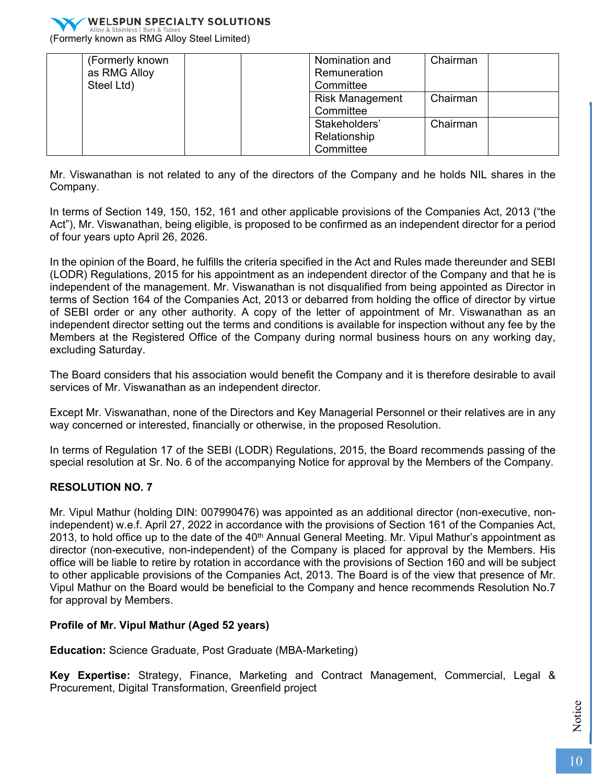

(Formerly known as RMG Alloy Steel Limited)

| (Formerly known | Nomination and         | Chairman |
|-----------------|------------------------|----------|
| as RMG Alloy    | Remuneration           |          |
| Steel Ltd)      | Committee              |          |
|                 | <b>Risk Management</b> | Chairman |
|                 | Committee              |          |
|                 | Stakeholders'          | Chairman |
|                 | Relationship           |          |
|                 | Committee              |          |

Mr. Viswanathan is not related to any of the directors of the Company and he holds NIL shares in the Company.

In terms of Section 149, 150, 152, 161 and other applicable provisions of the Companies Act, 2013 ("the Act"), Mr. Viswanathan, being eligible, is proposed to be confirmed as an independent director for a period of four years upto April 26, 2026.

In the opinion of the Board, he fulfills the criteria specified in the Act and Rules made thereunder and SEBI (LODR) Regulations, 2015 for his appointment as an independent director of the Company and that he is independent of the management. Mr. Viswanathan is not disqualified from being appointed as Director in terms of Section 164 of the Companies Act, 2013 or debarred from holding the office of director by virtue of SEBI order or any other authority. A copy of the letter of appointment of Mr. Viswanathan as an independent director setting out the terms and conditions is available for inspection without any fee by the Members at the Registered Office of the Company during normal business hours on any working day, excluding Saturday.

The Board considers that his association would benefit the Company and it is therefore desirable to avail services of Mr. Viswanathan as an independent director.

Except Mr. Viswanathan, none of the Directors and Key Managerial Personnel or their relatives are in any way concerned or interested, financially or otherwise, in the proposed Resolution.

In terms of Regulation 17 of the SEBI (LODR) Regulations, 2015, the Board recommends passing of the special resolution at Sr. No. 6 of the accompanying Notice for approval by the Members of the Company.

### **RESOLUTION NO. 7**

Mr. Vipul Mathur (holding DIN: 007990476) was appointed as an additional director (non-executive, nonindependent) w.e.f. April 27, 2022 in accordance with the provisions of Section 161 of the Companies Act, 2013, to hold office up to the date of the 40<sup>th</sup> Annual General Meeting. Mr. Vipul Mathur's appointment as director (non-executive, non-independent) of the Company is placed for approval by the Members. His office will be liable to retire by rotation in accordance with the provisions of Section 160 and will be subject to other applicable provisions of the Companies Act, 2013. The Board is of the view that presence of Mr. Vipul Mathur on the Board would be beneficial to the Company and hence recommends Resolution No.7 for approval by Members.

### **Profile of Mr. Vipul Mathur (Aged 52 years)**

**Education:** Science Graduate, Post Graduate (MBA-Marketing)

**Key Expertise:** Strategy, Finance, Marketing and Contract Management, Commercial, Legal & Procurement, Digital Transformation, Greenfield project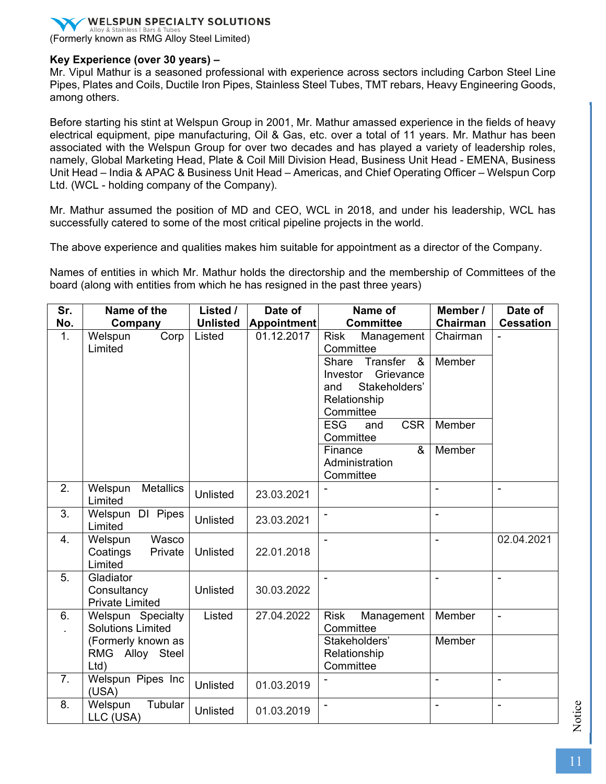

### **Key Experience (over 30 years) –**

Mr. Vipul Mathur is a seasoned professional with experience across sectors including Carbon Steel Line Pipes, Plates and Coils, Ductile Iron Pipes, Stainless Steel Tubes, TMT rebars, Heavy Engineering Goods, among others.

Before starting his stint at Welspun Group in 2001, Mr. Mathur amassed experience in the fields of heavy electrical equipment, pipe manufacturing, Oil & Gas, etc. over a total of 11 years. Mr. Mathur has been associated with the Welspun Group for over two decades and has played a variety of leadership roles, namely, Global Marketing Head, Plate & Coil Mill Division Head, Business Unit Head - EMENA, Business Unit Head – India & APAC & Business Unit Head – Americas, and Chief Operating Officer – Welspun Corp Ltd. (WCL - holding company of the Company).

Mr. Mathur assumed the position of MD and CEO, WCL in 2018, and under his leadership, WCL has successfully catered to some of the most critical pipeline projects in the world.

The above experience and qualities makes him suitable for appointment as a director of the Company.

Names of entities in which Mr. Mathur holds the directorship and the membership of Committees of the board (along with entities from which he has resigned in the past three years)

| Sr.              | Name of the                                        | Listed /        | Date of            | Name of                                                                                                                  | Member /       | Date of          |
|------------------|----------------------------------------------------|-----------------|--------------------|--------------------------------------------------------------------------------------------------------------------------|----------------|------------------|
| No.              | Company                                            | <b>Unlisted</b> | <b>Appointment</b> | <b>Committee</b>                                                                                                         | Chairman       | <b>Cessation</b> |
| $\overline{1}$ . | Welspun<br>Corp<br>Limited                         | Listed          | 01.12.2017         | <b>Risk</b><br>Management<br>Committee                                                                                   | Chairman       | $\blacksquare$   |
|                  |                                                    |                 |                    | Transfer<br>Share<br>$\boldsymbol{\alpha}$<br>Grievance<br>Investor<br>Stakeholders'<br>and<br>Relationship<br>Committee | Member         |                  |
|                  |                                                    |                 |                    | <b>CSR</b><br><b>ESG</b><br>and<br>Committee                                                                             | Member         |                  |
|                  |                                                    |                 |                    | Finance<br>&<br>Administration<br>Committee                                                                              | Member         |                  |
| 2.               | <b>Metallics</b><br>Welspun<br>Limited             | <b>Unlisted</b> | 23.03.2021         |                                                                                                                          |                |                  |
| 3.               | Welspun DI Pipes<br>Limited                        | Unlisted        | 23.03.2021         |                                                                                                                          | ä,             |                  |
| 4.               | Wasco<br>Welspun<br>Coatings<br>Private<br>Limited | Unlisted        | 22.01.2018         |                                                                                                                          | $\overline{a}$ | 02.04.2021       |
| 5.               | Gladiator<br>Consultancy<br><b>Private Limited</b> | Unlisted        | 30.03.2022         |                                                                                                                          |                | $\blacksquare$   |
| 6.               | Welspun Specialty<br><b>Solutions Limited</b>      | Listed          | 27.04.2022         | <b>Risk</b><br>Management<br>Committee                                                                                   | Member         | $\blacksquare$   |
|                  | (Formerly known as<br>RMG Alloy Steel<br>Ltd)      |                 |                    | Stakeholders'<br>Relationship<br>Committee                                                                               | <b>Member</b>  |                  |
| 7.               | Welspun Pipes Inc<br>(USA)                         | Unlisted        | 01.03.2019         |                                                                                                                          |                |                  |
| 8.               | Tubular<br>Welspun<br>LLC (USA)                    | Unlisted        | 01.03.2019         | $\blacksquare$                                                                                                           | $\overline{a}$ | $\blacksquare$   |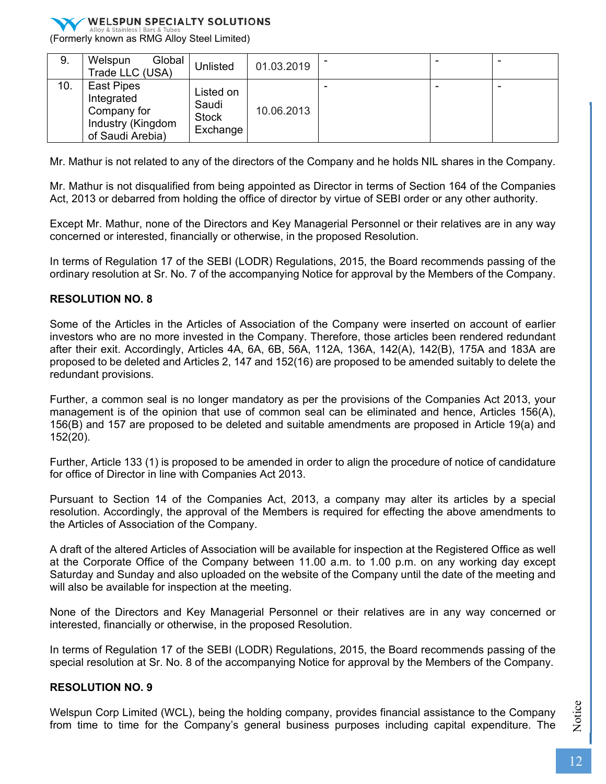

(Formerly known as RMG Alloy Steel Limited)

| 9.  | Global<br>Welspun<br>Trade LLC (USA)                                             | Unlisted                                       | 01.03.2019 |  | ۰ |
|-----|----------------------------------------------------------------------------------|------------------------------------------------|------------|--|---|
| 10. | East Pipes<br>Integrated<br>Company for<br>Industry (Kingdom<br>of Saudi Arebia) | Listed on<br>Saudi<br><b>Stock</b><br>Exchange | 10.06.2013 |  |   |

Mr. Mathur is not related to any of the directors of the Company and he holds NIL shares in the Company.

Mr. Mathur is not disqualified from being appointed as Director in terms of Section 164 of the Companies Act, 2013 or debarred from holding the office of director by virtue of SEBI order or any other authority.

Except Mr. Mathur, none of the Directors and Key Managerial Personnel or their relatives are in any way concerned or interested, financially or otherwise, in the proposed Resolution.

In terms of Regulation 17 of the SEBI (LODR) Regulations, 2015, the Board recommends passing of the ordinary resolution at Sr. No. 7 of the accompanying Notice for approval by the Members of the Company.

### **RESOLUTION NO. 8**

Some of the Articles in the Articles of Association of the Company were inserted on account of earlier investors who are no more invested in the Company. Therefore, those articles been rendered redundant after their exit. Accordingly, Articles 4A, 6A, 6B, 56A, 112A, 136A, 142(A), 142(B), 175A and 183A are proposed to be deleted and Articles 2, 147 and 152(16) are proposed to be amended suitably to delete the redundant provisions.

Further, a common seal is no longer mandatory as per the provisions of the Companies Act 2013, your management is of the opinion that use of common seal can be eliminated and hence, Articles 156(A), 156(B) and 157 are proposed to be deleted and suitable amendments are proposed in Article 19(a) and 152(20).

Further, Article 133 (1) is proposed to be amended in order to align the procedure of notice of candidature for office of Director in line with Companies Act 2013.

Pursuant to Section 14 of the Companies Act, 2013, a company may alter its articles by a special resolution. Accordingly, the approval of the Members is required for effecting the above amendments to the Articles of Association of the Company.

A draft of the altered Articles of Association will be available for inspection at the Registered Office as well at the Corporate Office of the Company between 11.00 a.m. to 1.00 p.m. on any working day except Saturday and Sunday and also uploaded on the website of the Company until the date of the meeting and will also be available for inspection at the meeting.

None of the Directors and Key Managerial Personnel or their relatives are in any way concerned or interested, financially or otherwise, in the proposed Resolution.

In terms of Regulation 17 of the SEBI (LODR) Regulations, 2015, the Board recommends passing of the special resolution at Sr. No. 8 of the accompanying Notice for approval by the Members of the Company.

### **RESOLUTION NO. 9**

Welspun Corp Limited (WCL), being the holding company, provides financial assistance to the Company from time to time for the Company's general business purposes including capital expenditure. The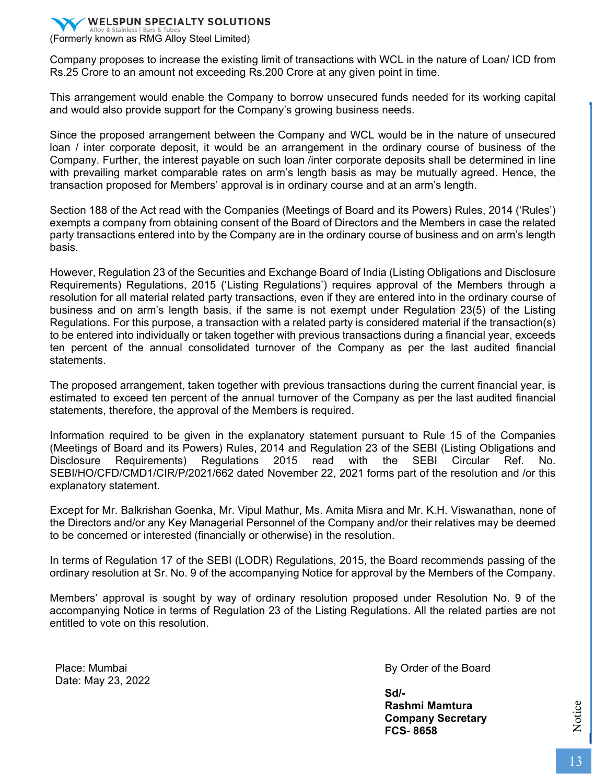(Formerly known as RMG Alloy Steel Limited)

Company proposes to increase the existing limit of transactions with WCL in the nature of Loan/ ICD from Rs.25 Crore to an amount not exceeding Rs.200 Crore at any given point in time.

This arrangement would enable the Company to borrow unsecured funds needed for its working capital and would also provide support for the Company's growing business needs.

Since the proposed arrangement between the Company and WCL would be in the nature of unsecured loan / inter corporate deposit, it would be an arrangement in the ordinary course of business of the Company. Further, the interest payable on such loan /inter corporate deposits shall be determined in line with prevailing market comparable rates on arm's length basis as may be mutually agreed. Hence, the transaction proposed for Members' approval is in ordinary course and at an arm's length.

Section 188 of the Act read with the Companies (Meetings of Board and its Powers) Rules, 2014 ('Rules') exempts a company from obtaining consent of the Board of Directors and the Members in case the related party transactions entered into by the Company are in the ordinary course of business and on arm's length basis.

However, Regulation 23 of the Securities and Exchange Board of India (Listing Obligations and Disclosure Requirements) Regulations, 2015 ('Listing Regulations') requires approval of the Members through a resolution for all material related party transactions, even if they are entered into in the ordinary course of business and on arm's length basis, if the same is not exempt under Regulation 23(5) of the Listing Regulations. For this purpose, a transaction with a related party is considered material if the transaction(s) to be entered into individually or taken together with previous transactions during a financial year, exceeds ten percent of the annual consolidated turnover of the Company as per the last audited financial statements.

The proposed arrangement, taken together with previous transactions during the current financial year, is estimated to exceed ten percent of the annual turnover of the Company as per the last audited financial statements, therefore, the approval of the Members is required.

Information required to be given in the explanatory statement pursuant to Rule 15 of the Companies (Meetings of Board and its Powers) Rules, 2014 and Regulation 23 of the SEBI (Listing Obligations and Disclosure Requirements) Regulations 2015 read with the SEBI Circular Ref. No. SEBI/HO/CFD/CMD1/CIR/P/2021/662 dated November 22, 2021 forms part of the resolution and /or this explanatory statement.

Except for Mr. Balkrishan Goenka, Mr. Vipul Mathur, Ms. Amita Misra and Mr. K.H. Viswanathan, none of the Directors and/or any Key Managerial Personnel of the Company and/or their relatives may be deemed to be concerned or interested (financially or otherwise) in the resolution.

In terms of Regulation 17 of the SEBI (LODR) Regulations, 2015, the Board recommends passing of the ordinary resolution at Sr. No. 9 of the accompanying Notice for approval by the Members of the Company.

Members' approval is sought by way of ordinary resolution proposed under Resolution No. 9 of the accompanying Notice in terms of Regulation 23 of the Listing Regulations. All the related parties are not entitled to vote on this resolution.

Place: Mumbai Date: May 23, 2022 By Order of the Board

**Sd/- Rashmi Mamtura Company Secretary FCS**- **8658**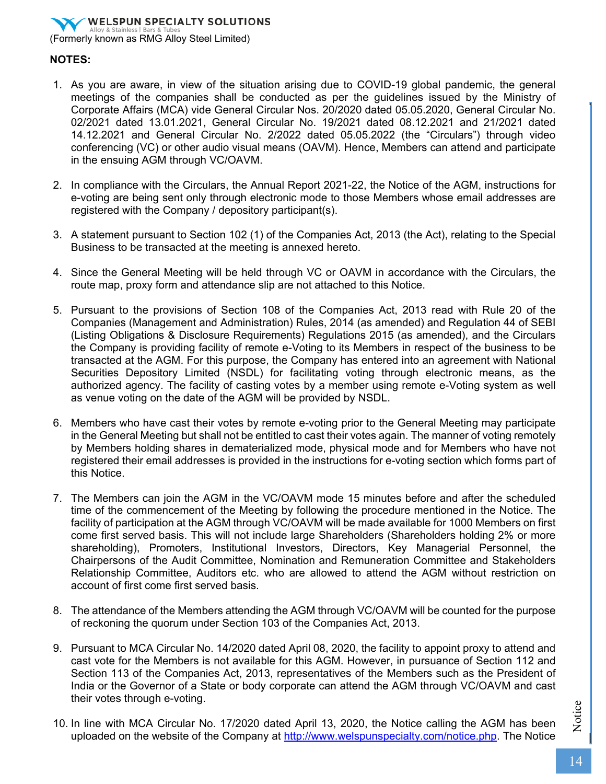# **WELSPUN SPECIALTY SOLUTIONS** (Formerly known as RMG Alloy Steel Limited)

**NOTES:**

- 1. As you are aware, in view of the situation arising due to COVID-19 global pandemic, the general meetings of the companies shall be conducted as per the guidelines issued by the Ministry of Corporate Affairs (MCA) vide General Circular Nos. 20/2020 dated 05.05.2020, General Circular No. 02/2021 dated 13.01.2021, General Circular No. 19/2021 dated 08.12.2021 and 21/2021 dated 14.12.2021 and General Circular No. 2/2022 dated 05.05.2022 (the "Circulars") through video conferencing (VC) or other audio visual means (OAVM). Hence, Members can attend and participate in the ensuing AGM through VC/OAVM.
- 2. In compliance with the Circulars, the Annual Report 2021-22, the Notice of the AGM, instructions for e-voting are being sent only through electronic mode to those Members whose email addresses are registered with the Company / depository participant(s).
- 3. A statement pursuant to Section 102 (1) of the Companies Act, 2013 (the Act), relating to the Special Business to be transacted at the meeting is annexed hereto.
- 4. Since the General Meeting will be held through VC or OAVM in accordance with the Circulars, the route map, proxy form and attendance slip are not attached to this Notice.
- 5. Pursuant to the provisions of Section 108 of the Companies Act, 2013 read with Rule 20 of the Companies (Management and Administration) Rules, 2014 (as amended) and Regulation 44 of SEBI (Listing Obligations & Disclosure Requirements) Regulations 2015 (as amended), and the Circulars the Company is providing facility of remote e-Voting to its Members in respect of the business to be transacted at the AGM. For this purpose, the Company has entered into an agreement with National Securities Depository Limited (NSDL) for facilitating voting through electronic means, as the authorized agency. The facility of casting votes by a member using remote e-Voting system as well as venue voting on the date of the AGM will be provided by NSDL.
- 6. Members who have cast their votes by remote e-voting prior to the General Meeting may participate in the General Meeting but shall not be entitled to cast their votes again. The manner of voting remotely by Members holding shares in dematerialized mode, physical mode and for Members who have not registered their email addresses is provided in the instructions for e-voting section which forms part of this Notice.
- 7. The Members can join the AGM in the VC/OAVM mode 15 minutes before and after the scheduled time of the commencement of the Meeting by following the procedure mentioned in the Notice. The facility of participation at the AGM through VC/OAVM will be made available for 1000 Members on first come first served basis. This will not include large Shareholders (Shareholders holding 2% or more shareholding), Promoters, Institutional Investors, Directors, Key Managerial Personnel, the Chairpersons of the Audit Committee, Nomination and Remuneration Committee and Stakeholders Relationship Committee, Auditors etc. who are allowed to attend the AGM without restriction on account of first come first served basis.
- 8. The attendance of the Members attending the AGM through VC/OAVM will be counted for the purpose of reckoning the quorum under Section 103 of the Companies Act, 2013.
- 9. Pursuant to MCA Circular No. 14/2020 dated April 08, 2020, the facility to appoint proxy to attend and cast vote for the Members is not available for this AGM. However, in pursuance of Section 112 and Section 113 of the Companies Act, 2013, representatives of the Members such as the President of India or the Governor of a State or body corporate can attend the AGM through VC/OAVM and cast their votes through e-voting.
- 10. In line with MCA Circular No. 17/2020 dated April 13, 2020, the Notice calling the AGM has been uploaded on the website of the Company at http://www.welspunspecialty.com/notice.php. The Notice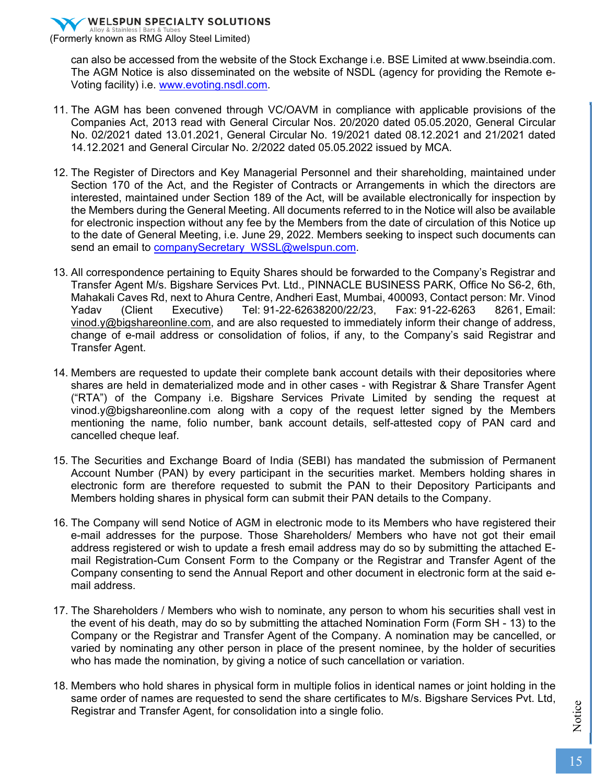(Formerly known as RMG Alloy Steel Limited)

can also be accessed from the website of the Stock Exchange i.e. BSE Limited at www.bseindia.com. The AGM Notice is also disseminated on the website of NSDL (agency for providing the Remote e-Voting facility) i.e. www.evoting.nsdl.com.

- 11. The AGM has been convened through VC/OAVM in compliance with applicable provisions of the Companies Act, 2013 read with General Circular Nos. 20/2020 dated 05.05.2020, General Circular No. 02/2021 dated 13.01.2021, General Circular No. 19/2021 dated 08.12.2021 and 21/2021 dated 14.12.2021 and General Circular No. 2/2022 dated 05.05.2022 issued by MCA.
- 12. The Register of Directors and Key Managerial Personnel and their shareholding, maintained under Section 170 of the Act, and the Register of Contracts or Arrangements in which the directors are interested, maintained under Section 189 of the Act, will be available electronically for inspection by the Members during the General Meeting. All documents referred to in the Notice will also be available for electronic inspection without any fee by the Members from the date of circulation of this Notice up to the date of General Meeting, i.e. June 29, 2022. Members seeking to inspect such documents can send an email to companySecretary WSSL@welspun.com.
- 13. All correspondence pertaining to Equity Shares should be forwarded to the Company's Registrar and Transfer Agent M/s. Bigshare Services Pvt. Ltd., PINNACLE BUSINESS PARK, Office No S6-2, 6th, Mahakali Caves Rd, next to Ahura Centre, Andheri East, Mumbai, 400093, Contact person: Mr. Vinod Yadav (Client Executive) Tel: 91-22-62638200/22/23, Fax: 91-22-6263 8261, Email: vinod.y@bigshareonline.com, and are also requested to immediately inform their change of address, change of e-mail address or consolidation of folios, if any, to the Company's said Registrar and Transfer Agent.
- 14. Members are requested to update their complete bank account details with their depositories where shares are held in dematerialized mode and in other cases - with Registrar & Share Transfer Agent ("RTA") of the Company i.e. Bigshare Services Private Limited by sending the request at vinod.y@bigshareonline.com along with a copy of the request letter signed by the Members mentioning the name, folio number, bank account details, self-attested copy of PAN card and cancelled cheque leaf.
- 15. The Securities and Exchange Board of India (SEBI) has mandated the submission of Permanent Account Number (PAN) by every participant in the securities market. Members holding shares in electronic form are therefore requested to submit the PAN to their Depository Participants and Members holding shares in physical form can submit their PAN details to the Company.
- 16. The Company will send Notice of AGM in electronic mode to its Members who have registered their e-mail addresses for the purpose. Those Shareholders/ Members who have not got their email address registered or wish to update a fresh email address may do so by submitting the attached Email Registration-Cum Consent Form to the Company or the Registrar and Transfer Agent of the Company consenting to send the Annual Report and other document in electronic form at the said email address.
- 17. The Shareholders / Members who wish to nominate, any person to whom his securities shall vest in the event of his death, may do so by submitting the attached Nomination Form (Form SH - 13) to the Company or the Registrar and Transfer Agent of the Company. A nomination may be cancelled, or varied by nominating any other person in place of the present nominee, by the holder of securities who has made the nomination, by giving a notice of such cancellation or variation.
- 18. Members who hold shares in physical form in multiple folios in identical names or joint holding in the same order of names are requested to send the share certificates to M/s. Bigshare Services Pvt. Ltd, Registrar and Transfer Agent, for consolidation into a single folio.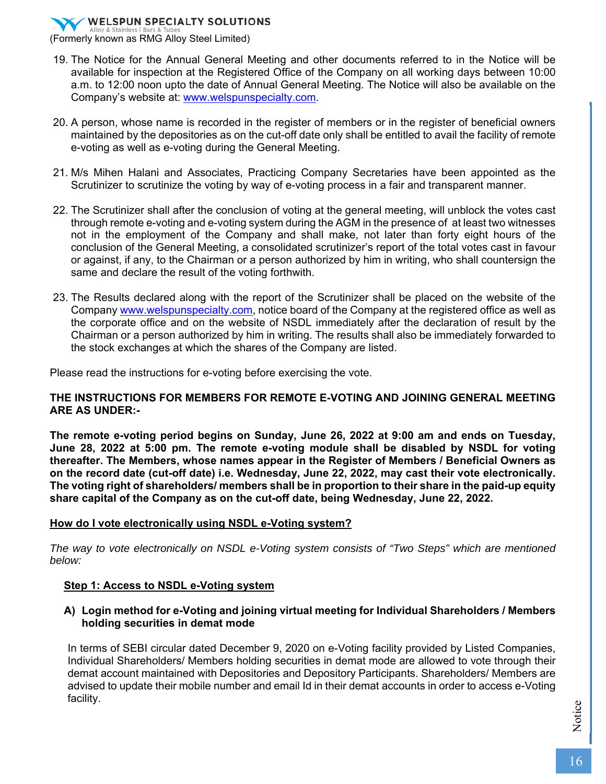(Formerly known as RMG Alloy Steel Limited)

- 19. The Notice for the Annual General Meeting and other documents referred to in the Notice will be available for inspection at the Registered Office of the Company on all working days between 10:00 a.m. to 12:00 noon upto the date of Annual General Meeting. The Notice will also be available on the Company's website at: www.welspunspecialty.com.
- 20. A person, whose name is recorded in the register of members or in the register of beneficial owners maintained by the depositories as on the cut-off date only shall be entitled to avail the facility of remote e-voting as well as e-voting during the General Meeting.
- 21. M/s Mihen Halani and Associates, Practicing Company Secretaries have been appointed as the Scrutinizer to scrutinize the voting by way of e-voting process in a fair and transparent manner.
- 22. The Scrutinizer shall after the conclusion of voting at the general meeting, will unblock the votes cast through remote e-voting and e-voting system during the AGM in the presence of at least two witnesses not in the employment of the Company and shall make, not later than forty eight hours of the conclusion of the General Meeting, a consolidated scrutinizer's report of the total votes cast in favour or against, if any, to the Chairman or a person authorized by him in writing, who shall countersign the same and declare the result of the voting forthwith.
- 23. The Results declared along with the report of the Scrutinizer shall be placed on the website of the Company www.welspunspecialty.com, notice board of the Company at the registered office as well as the corporate office and on the website of NSDL immediately after the declaration of result by the Chairman or a person authorized by him in writing. The results shall also be immediately forwarded to the stock exchanges at which the shares of the Company are listed.

Please read the instructions for e-voting before exercising the vote.

### **THE INSTRUCTIONS FOR MEMBERS FOR REMOTE E-VOTING AND JOINING GENERAL MEETING ARE AS UNDER:-**

**The remote e-voting period begins on Sunday, June 26, 2022 at 9:00 am and ends on Tuesday, June 28, 2022 at 5:00 pm. The remote e-voting module shall be disabled by NSDL for voting thereafter. The Members, whose names appear in the Register of Members / Beneficial Owners as on the record date (cut-off date) i.e. Wednesday, June 22, 2022, may cast their vote electronically. The voting right of shareholders/ members shall be in proportion to their share in the paid-up equity share capital of the Company as on the cut-off date, being Wednesday, June 22, 2022.** 

### **How do I vote electronically using NSDL e-Voting system?**

*The way to vote electronically on NSDL e-Voting system consists of "Two Steps" which are mentioned below:* 

### **Step 1: Access to NSDL e-Voting system**

### **A) Login method for e-Voting and joining virtual meeting for Individual Shareholders / Members holding securities in demat mode**

In terms of SEBI circular dated December 9, 2020 on e-Voting facility provided by Listed Companies, Individual Shareholders/ Members holding securities in demat mode are allowed to vote through their demat account maintained with Depositories and Depository Participants. Shareholders/ Members are advised to update their mobile number and email Id in their demat accounts in order to access e-Voting facility.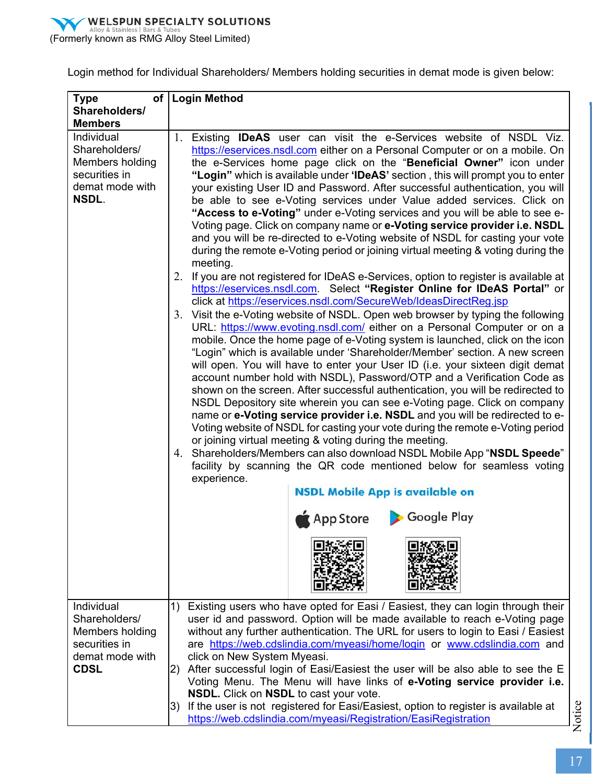

Login method for Individual Shareholders/ Members holding securities in demat mode is given below:

| <b>Type</b>                                                                                 | of   Login Method                                                                                                                                                                                                                                                                                                                                                                                                                                                                                                                                                                                                                                                                                                                                                                                                                                                                                                                                                                                                                                                                                                                                                                                                                                                                                                                                                                                                                                                                                                                                                                                                                                                                                                                                                                                                                                                                                                                                                                                                                                                                                                                                               |  |  |  |  |  |
|---------------------------------------------------------------------------------------------|-----------------------------------------------------------------------------------------------------------------------------------------------------------------------------------------------------------------------------------------------------------------------------------------------------------------------------------------------------------------------------------------------------------------------------------------------------------------------------------------------------------------------------------------------------------------------------------------------------------------------------------------------------------------------------------------------------------------------------------------------------------------------------------------------------------------------------------------------------------------------------------------------------------------------------------------------------------------------------------------------------------------------------------------------------------------------------------------------------------------------------------------------------------------------------------------------------------------------------------------------------------------------------------------------------------------------------------------------------------------------------------------------------------------------------------------------------------------------------------------------------------------------------------------------------------------------------------------------------------------------------------------------------------------------------------------------------------------------------------------------------------------------------------------------------------------------------------------------------------------------------------------------------------------------------------------------------------------------------------------------------------------------------------------------------------------------------------------------------------------------------------------------------------------|--|--|--|--|--|
| Shareholders/                                                                               |                                                                                                                                                                                                                                                                                                                                                                                                                                                                                                                                                                                                                                                                                                                                                                                                                                                                                                                                                                                                                                                                                                                                                                                                                                                                                                                                                                                                                                                                                                                                                                                                                                                                                                                                                                                                                                                                                                                                                                                                                                                                                                                                                                 |  |  |  |  |  |
| <b>Members</b>                                                                              |                                                                                                                                                                                                                                                                                                                                                                                                                                                                                                                                                                                                                                                                                                                                                                                                                                                                                                                                                                                                                                                                                                                                                                                                                                                                                                                                                                                                                                                                                                                                                                                                                                                                                                                                                                                                                                                                                                                                                                                                                                                                                                                                                                 |  |  |  |  |  |
| Individual<br>Shareholders/<br>Members holding<br>securities in<br>demat mode with<br>NSDL. | 1. Existing IDeAS user can visit the e-Services website of NSDL Viz.<br>https://eservices.nsdl.com either on a Personal Computer or on a mobile. On<br>the e-Services home page click on the "Beneficial Owner" icon under<br>"Login" which is available under 'IDeAS' section, this will prompt you to enter<br>your existing User ID and Password. After successful authentication, you will<br>be able to see e-Voting services under Value added services. Click on<br>"Access to e-Voting" under e-Voting services and you will be able to see e-<br>Voting page. Click on company name or e-Voting service provider i.e. NSDL<br>and you will be re-directed to e-Voting website of NSDL for casting your vote<br>during the remote e-Voting period or joining virtual meeting & voting during the<br>meeting.<br>2. If you are not registered for IDeAS e-Services, option to register is available at<br>https://eservices.nsdl.com. Select "Register Online for IDeAS Portal" or<br>click at https://eservices.nsdl.com/SecureWeb/IdeasDirectReg.jsp<br>3. Visit the e-Voting website of NSDL. Open web browser by typing the following<br>URL: https://www.evoting.nsdl.com/ either on a Personal Computer or on a<br>mobile. Once the home page of e-Voting system is launched, click on the icon<br>"Login" which is available under 'Shareholder/Member' section. A new screen<br>will open. You will have to enter your User ID (i.e. your sixteen digit demat<br>account number hold with NSDL), Password/OTP and a Verification Code as<br>shown on the screen. After successful authentication, you will be redirected to<br>NSDL Depository site wherein you can see e-Voting page. Click on company<br>name or e-Voting service provider i.e. NSDL and you will be redirected to e-<br>Voting website of NSDL for casting your vote during the remote e-Voting period<br>or joining virtual meeting & voting during the meeting.<br>4. Shareholders/Members can also download NSDL Mobile App "NSDL Speede"<br>facility by scanning the QR code mentioned below for seamless voting<br>experience.<br><b>NSDL Mobile App is available on</b> |  |  |  |  |  |
|                                                                                             | App Store Coogle Play                                                                                                                                                                                                                                                                                                                                                                                                                                                                                                                                                                                                                                                                                                                                                                                                                                                                                                                                                                                                                                                                                                                                                                                                                                                                                                                                                                                                                                                                                                                                                                                                                                                                                                                                                                                                                                                                                                                                                                                                                                                                                                                                           |  |  |  |  |  |
|                                                                                             |                                                                                                                                                                                                                                                                                                                                                                                                                                                                                                                                                                                                                                                                                                                                                                                                                                                                                                                                                                                                                                                                                                                                                                                                                                                                                                                                                                                                                                                                                                                                                                                                                                                                                                                                                                                                                                                                                                                                                                                                                                                                                                                                                                 |  |  |  |  |  |
| Individual<br>Shareholders/                                                                 | Existing users who have opted for Easi / Easiest, they can login through their<br>1)<br>user id and password. Option will be made available to reach e-Voting page                                                                                                                                                                                                                                                                                                                                                                                                                                                                                                                                                                                                                                                                                                                                                                                                                                                                                                                                                                                                                                                                                                                                                                                                                                                                                                                                                                                                                                                                                                                                                                                                                                                                                                                                                                                                                                                                                                                                                                                              |  |  |  |  |  |
| Members holding                                                                             | without any further authentication. The URL for users to login to Easi / Easiest                                                                                                                                                                                                                                                                                                                                                                                                                                                                                                                                                                                                                                                                                                                                                                                                                                                                                                                                                                                                                                                                                                                                                                                                                                                                                                                                                                                                                                                                                                                                                                                                                                                                                                                                                                                                                                                                                                                                                                                                                                                                                |  |  |  |  |  |
| securities in                                                                               | are https://web.cdslindia.com/myeasi/home/login or www.cdslindia.com and                                                                                                                                                                                                                                                                                                                                                                                                                                                                                                                                                                                                                                                                                                                                                                                                                                                                                                                                                                                                                                                                                                                                                                                                                                                                                                                                                                                                                                                                                                                                                                                                                                                                                                                                                                                                                                                                                                                                                                                                                                                                                        |  |  |  |  |  |
| demat mode with                                                                             | click on New System Myeasi.                                                                                                                                                                                                                                                                                                                                                                                                                                                                                                                                                                                                                                                                                                                                                                                                                                                                                                                                                                                                                                                                                                                                                                                                                                                                                                                                                                                                                                                                                                                                                                                                                                                                                                                                                                                                                                                                                                                                                                                                                                                                                                                                     |  |  |  |  |  |
| <b>CDSL</b>                                                                                 | After successful login of Easi/Easiest the user will be also able to see the E<br>2)                                                                                                                                                                                                                                                                                                                                                                                                                                                                                                                                                                                                                                                                                                                                                                                                                                                                                                                                                                                                                                                                                                                                                                                                                                                                                                                                                                                                                                                                                                                                                                                                                                                                                                                                                                                                                                                                                                                                                                                                                                                                            |  |  |  |  |  |
|                                                                                             | Voting Menu. The Menu will have links of e-Voting service provider i.e.                                                                                                                                                                                                                                                                                                                                                                                                                                                                                                                                                                                                                                                                                                                                                                                                                                                                                                                                                                                                                                                                                                                                                                                                                                                                                                                                                                                                                                                                                                                                                                                                                                                                                                                                                                                                                                                                                                                                                                                                                                                                                         |  |  |  |  |  |
|                                                                                             | NSDL. Click on NSDL to cast your vote.<br>If the user is not registered for Easi/Easiest, option to register is available at<br>3)                                                                                                                                                                                                                                                                                                                                                                                                                                                                                                                                                                                                                                                                                                                                                                                                                                                                                                                                                                                                                                                                                                                                                                                                                                                                                                                                                                                                                                                                                                                                                                                                                                                                                                                                                                                                                                                                                                                                                                                                                              |  |  |  |  |  |
|                                                                                             | https://web.cdslindia.com/myeasi/Registration/EasiRegistration                                                                                                                                                                                                                                                                                                                                                                                                                                                                                                                                                                                                                                                                                                                                                                                                                                                                                                                                                                                                                                                                                                                                                                                                                                                                                                                                                                                                                                                                                                                                                                                                                                                                                                                                                                                                                                                                                                                                                                                                                                                                                                  |  |  |  |  |  |
|                                                                                             |                                                                                                                                                                                                                                                                                                                                                                                                                                                                                                                                                                                                                                                                                                                                                                                                                                                                                                                                                                                                                                                                                                                                                                                                                                                                                                                                                                                                                                                                                                                                                                                                                                                                                                                                                                                                                                                                                                                                                                                                                                                                                                                                                                 |  |  |  |  |  |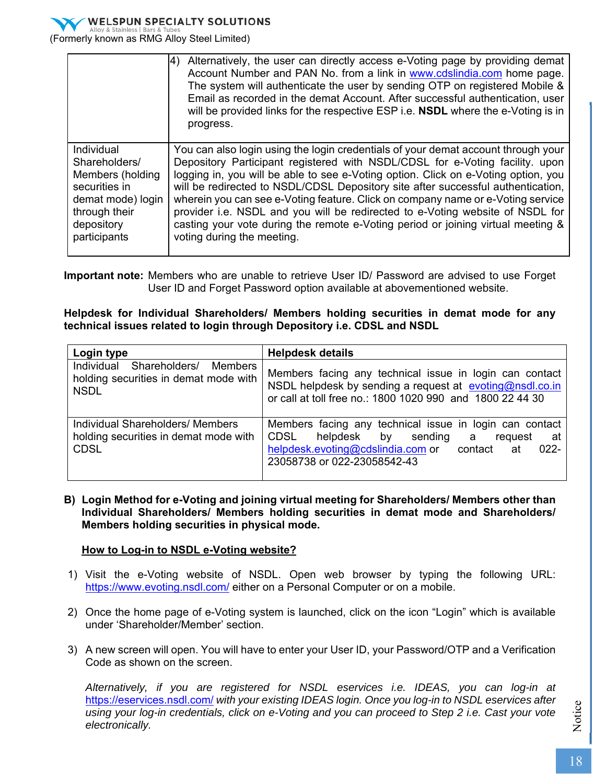

(Formerly known as RMG Alloy Steel Limited)

|                   | Alternatively, the user can directly access e-Voting page by providing demat<br>I4)<br>Account Number and PAN No. from a link in www.cdslindia.com home page.<br>The system will authenticate the user by sending OTP on registered Mobile &<br>Email as recorded in the demat Account. After successful authentication, user<br>will be provided links for the respective ESP i.e. <b>NSDL</b> where the e-Voting is in<br>progress. |
|-------------------|---------------------------------------------------------------------------------------------------------------------------------------------------------------------------------------------------------------------------------------------------------------------------------------------------------------------------------------------------------------------------------------------------------------------------------------|
| Individual        | You can also login using the login credentials of your demat account through your                                                                                                                                                                                                                                                                                                                                                     |
| Shareholders/     | Depository Participant registered with NSDL/CDSL for e-Voting facility. upon                                                                                                                                                                                                                                                                                                                                                          |
| Members (holding  | logging in, you will be able to see e-Voting option. Click on e-Voting option, you                                                                                                                                                                                                                                                                                                                                                    |
| securities in     | will be redirected to NSDL/CDSL Depository site after successful authentication,                                                                                                                                                                                                                                                                                                                                                      |
| demat mode) login | wherein you can see e-Voting feature. Click on company name or e-Voting service                                                                                                                                                                                                                                                                                                                                                       |
| through their     | provider i.e. NSDL and you will be redirected to e-Voting website of NSDL for                                                                                                                                                                                                                                                                                                                                                         |
| depository        | casting your vote during the remote e-Voting period or joining virtual meeting &                                                                                                                                                                                                                                                                                                                                                      |
| participants      | voting during the meeting.                                                                                                                                                                                                                                                                                                                                                                                                            |

**Important note:** Members who are unable to retrieve User ID/ Password are advised to use Forget User ID and Forget Password option available at abovementioned website.

### **Helpdesk for Individual Shareholders/ Members holding securities in demat mode for any technical issues related to login through Depository i.e. CDSL and NSDL**

| Login type                                                                               | <b>Helpdesk details</b>                                                                                                                                                                                  |
|------------------------------------------------------------------------------------------|----------------------------------------------------------------------------------------------------------------------------------------------------------------------------------------------------------|
| Individual Shareholders/ Members<br>holding securities in demat mode with<br><b>NSDL</b> | Members facing any technical issue in login can contact<br>NSDL helpdesk by sending a request at evoting@nsdl.co.in<br>or call at toll free no.: 1800 1020 990 and 1800 22 44 30                         |
| Individual Shareholders/ Members<br>holding securities in demat mode with<br><b>CDSL</b> | Members facing any technical issue in login can contact<br>CDSL<br>helpdesk by sending a<br>request<br>at a<br>helpdesk.evoting@cdslindia.com or contact<br>$022 -$<br>at<br>23058738 or 022-23058542-43 |

**B) Login Method for e-Voting and joining virtual meeting for Shareholders/ Members other than Individual Shareholders/ Members holding securities in demat mode and Shareholders/ Members holding securities in physical mode.** 

### **How to Log-in to NSDL e-Voting website?**

- 1) Visit the e-Voting website of NSDL. Open web browser by typing the following URL: https://www.evoting.nsdl.com/ either on a Personal Computer or on a mobile.
- 2) Once the home page of e-Voting system is launched, click on the icon "Login" which is available under 'Shareholder/Member' section.
- 3) A new screen will open. You will have to enter your User ID, your Password/OTP and a Verification Code as shown on the screen.

*Alternatively, if you are registered for NSDL eservices i.e. IDEAS, you can log-in at*  https://eservices.nsdl.com/ *with your existing IDEAS login. Once you log-in to NSDL eservices after using your log-in credentials, click on e-Voting and you can proceed to Step 2 i.e. Cast your vote electronically.*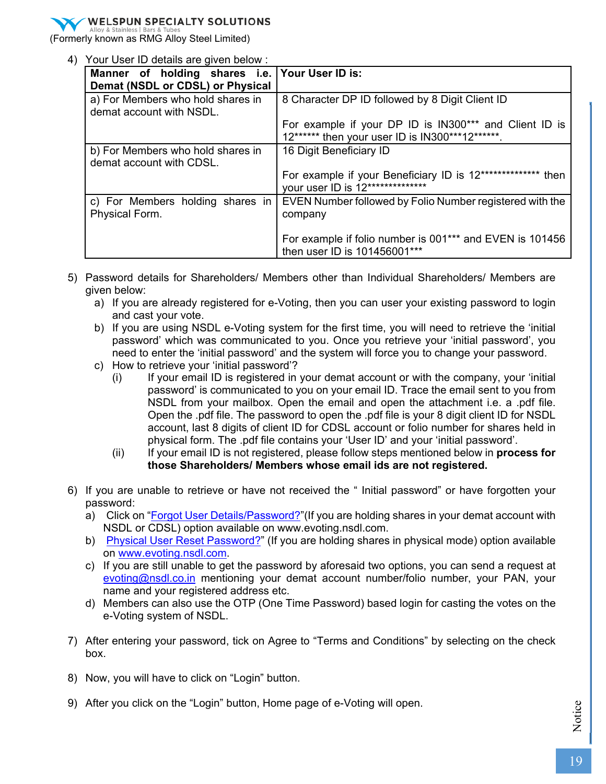(Formerly known as RMG Alloy Steel Limited)

4) Your User ID details are given below :

| Manner of holding shares i.e. Your User ID is:<br>Demat (NSDL or CDSL) or Physical |                                                                                                           |
|------------------------------------------------------------------------------------|-----------------------------------------------------------------------------------------------------------|
| a) For Members who hold shares in<br>demat account with NSDL.                      | 8 Character DP ID followed by 8 Digit Client ID                                                           |
|                                                                                    | For example if your DP ID is IN300*** and Client ID is<br>12****** then your user ID is IN300***12******. |
| b) For Members who hold shares in<br>demat account with CDSL.                      | 16 Digit Beneficiary ID                                                                                   |
|                                                                                    | For example if your Beneficiary ID is 12************** then<br>your user ID is 12**************           |
| c) For Members holding shares in<br>Physical Form.                                 | EVEN Number followed by Folio Number registered with the<br>company                                       |
|                                                                                    | For example if folio number is 001*** and EVEN is 101456<br>then user ID is 101456001***                  |

- 5) Password details for Shareholders/ Members other than Individual Shareholders/ Members are given below:
	- a) If you are already registered for e-Voting, then you can user your existing password to login and cast your vote.
	- b) If you are using NSDL e-Voting system for the first time, you will need to retrieve the 'initial password' which was communicated to you. Once you retrieve your 'initial password', you need to enter the 'initial password' and the system will force you to change your password.
	- c) How to retrieve your 'initial password'?
		- (i) If your email ID is registered in your demat account or with the company, your 'initial password' is communicated to you on your email ID. Trace the email sent to you from NSDL from your mailbox. Open the email and open the attachment i.e. a .pdf file. Open the .pdf file. The password to open the .pdf file is your 8 digit client ID for NSDL account, last 8 digits of client ID for CDSL account or folio number for shares held in physical form. The .pdf file contains your 'User ID' and your 'initial password'.
		- (ii) If your email ID is not registered, please follow steps mentioned below in **process for those Shareholders/ Members whose email ids are not registered.**
- 6) If you are unable to retrieve or have not received the " Initial password" or have forgotten your password:
	- a) Click on "Forgot User Details/Password?" (If you are holding shares in your demat account with NSDL or CDSL) option available on www.evoting.nsdl.com.
	- b) Physical User Reset Password?" (If you are holding shares in physical mode) option available on www.evoting.nsdl.com.
	- c) If you are still unable to get the password by aforesaid two options, you can send a request at evoting@nsdl.co.in mentioning your demat account number/folio number, your PAN, your name and your registered address etc.
	- d) Members can also use the OTP (One Time Password) based login for casting the votes on the e-Voting system of NSDL.
- 7) After entering your password, tick on Agree to "Terms and Conditions" by selecting on the check box.
- 8) Now, you will have to click on "Login" button.
- 9) After you click on the "Login" button, Home page of e-Voting will open.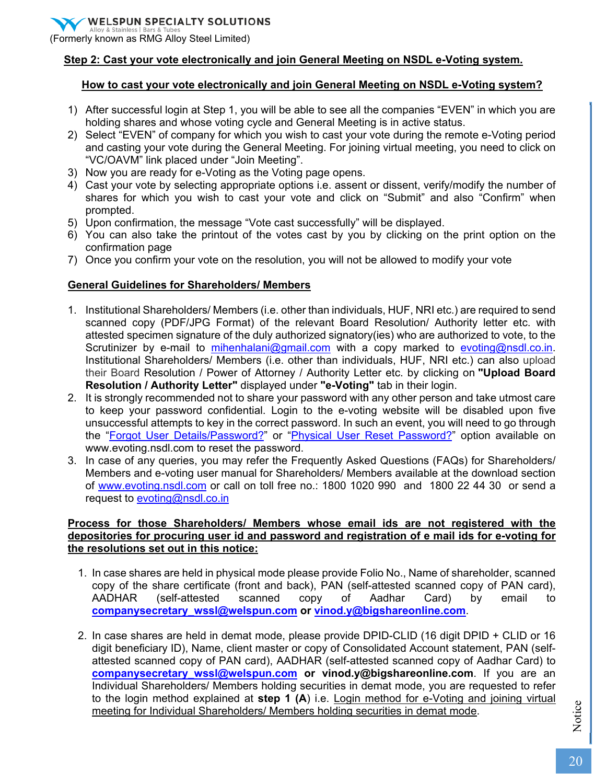(Formerly known as RMG Alloy Steel Limited)

### **Step 2: Cast your vote electronically and join General Meeting on NSDL e-Voting system.**

### **How to cast your vote electronically and join General Meeting on NSDL e-Voting system?**

- 1) After successful login at Step 1, you will be able to see all the companies "EVEN" in which you are holding shares and whose voting cycle and General Meeting is in active status.
- 2) Select "EVEN" of company for which you wish to cast your vote during the remote e-Voting period and casting your vote during the General Meeting. For joining virtual meeting, you need to click on "VC/OAVM" link placed under "Join Meeting".
- 3) Now you are ready for e-Voting as the Voting page opens.
- 4) Cast your vote by selecting appropriate options i.e. assent or dissent, verify/modify the number of shares for which you wish to cast your vote and click on "Submit" and also "Confirm" when prompted.
- 5) Upon confirmation, the message "Vote cast successfully" will be displayed.
- 6) You can also take the printout of the votes cast by you by clicking on the print option on the confirmation page
- 7) Once you confirm your vote on the resolution, you will not be allowed to modify your vote

### **General Guidelines for Shareholders/ Members**

- 1. Institutional Shareholders/ Members (i.e. other than individuals, HUF, NRI etc.) are required to send scanned copy (PDF/JPG Format) of the relevant Board Resolution/ Authority letter etc. with attested specimen signature of the duly authorized signatory(ies) who are authorized to vote, to the Scrutinizer by e-mail to mihenhalani@gmail.com with a copy marked to evoting@nsdl.co.in. Institutional Shareholders/ Members (i.e. other than individuals, HUF, NRI etc.) can also upload their Board Resolution / Power of Attorney / Authority Letter etc. by clicking on **"Upload Board Resolution / Authority Letter"** displayed under **"e-Voting"** tab in their login.
- 2. It is strongly recommended not to share your password with any other person and take utmost care to keep your password confidential. Login to the e-voting website will be disabled upon five unsuccessful attempts to key in the correct password. In such an event, you will need to go through the "Forgot User Details/Password?" or "Physical User Reset Password?" option available on www.evoting.nsdl.com to reset the password.
- 3. In case of any queries, you may refer the Frequently Asked Questions (FAQs) for Shareholders/ Members and e-voting user manual for Shareholders/ Members available at the download section of www.evoting.nsdl.com or call on toll free no.: 1800 1020 990 and 1800 22 44 30 or send a request to evoting@nsdl.co.in

### **Process for those Shareholders/ Members whose email ids are not registered with the depositories for procuring user id and password and registration of e mail ids for e-voting for the resolutions set out in this notice:**

- 1. In case shares are held in physical mode please provide Folio No., Name of shareholder, scanned copy of the share certificate (front and back), PAN (self-attested scanned copy of PAN card), AADHAR (self-attested scanned copy of Aadhar Card) by email to **companysecretary\_wssl@welspun.com or vinod.y@bigshareonline.com**.
- 2. In case shares are held in demat mode, please provide DPID-CLID (16 digit DPID + CLID or 16 digit beneficiary ID), Name, client master or copy of Consolidated Account statement, PAN (selfattested scanned copy of PAN card), AADHAR (self-attested scanned copy of Aadhar Card) to **companysecretary wssl@welspun.com or vinod.y@bigshareonline.com**. If you are an Individual Shareholders/ Members holding securities in demat mode, you are requested to refer to the login method explained at **step 1 (A**) i.e. Login method for e-Voting and joining virtual meeting for Individual Shareholders/ Members holding securities in demat mode.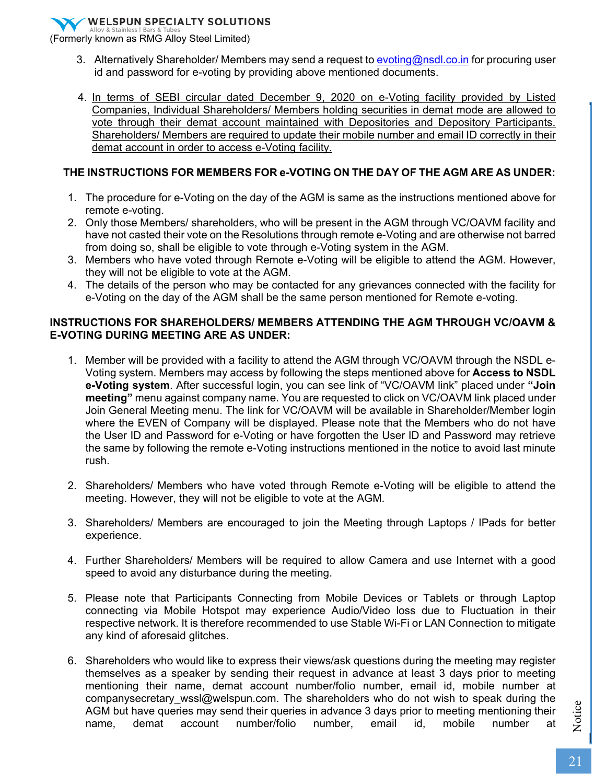(Formerly known as RMG Alloy Steel Limited)

- 3. Alternatively Shareholder/ Members may send a request to evoting@nsdl.co.in for procuring user id and password for e-voting by providing above mentioned documents.
- 4. In terms of SEBI circular dated December 9, 2020 on e-Voting facility provided by Listed Companies, Individual Shareholders/ Members holding securities in demat mode are allowed to vote through their demat account maintained with Depositories and Depository Participants. Shareholders/ Members are required to update their mobile number and email ID correctly in their demat account in order to access e-Voting facility.

### **THE INSTRUCTIONS FOR MEMBERS FOR e-VOTING ON THE DAY OF THE AGM ARE AS UNDER:**

- 1. The procedure for e-Voting on the day of the AGM is same as the instructions mentioned above for remote e-voting.
- 2. Only those Members/ shareholders, who will be present in the AGM through VC/OAVM facility and have not casted their vote on the Resolutions through remote e-Voting and are otherwise not barred from doing so, shall be eligible to vote through e-Voting system in the AGM.
- 3. Members who have voted through Remote e-Voting will be eligible to attend the AGM. However, they will not be eligible to vote at the AGM.
- 4. The details of the person who may be contacted for any grievances connected with the facility for e-Voting on the day of the AGM shall be the same person mentioned for Remote e-voting.

### **INSTRUCTIONS FOR SHAREHOLDERS/ MEMBERS ATTENDING THE AGM THROUGH VC/OAVM & E-VOTING DURING MEETING ARE AS UNDER:**

- 1. Member will be provided with a facility to attend the AGM through VC/OAVM through the NSDL e-Voting system. Members may access by following the steps mentioned above for **Access to NSDL e-Voting system**. After successful login, you can see link of "VC/OAVM link" placed under **"Join meeting"** menu against company name. You are requested to click on VC/OAVM link placed under Join General Meeting menu. The link for VC/OAVM will be available in Shareholder/Member login where the EVEN of Company will be displayed. Please note that the Members who do not have the User ID and Password for e-Voting or have forgotten the User ID and Password may retrieve the same by following the remote e-Voting instructions mentioned in the notice to avoid last minute rush.
- 2. Shareholders/ Members who have voted through Remote e-Voting will be eligible to attend the meeting. However, they will not be eligible to vote at the AGM.
- 3. Shareholders/ Members are encouraged to join the Meeting through Laptops / IPads for better experience.
- 4. Further Shareholders/ Members will be required to allow Camera and use Internet with a good speed to avoid any disturbance during the meeting.
- 5. Please note that Participants Connecting from Mobile Devices or Tablets or through Laptop connecting via Mobile Hotspot may experience Audio/Video loss due to Fluctuation in their respective network. It is therefore recommended to use Stable Wi-Fi or LAN Connection to mitigate any kind of aforesaid glitches.
- 6. Shareholders who would like to express their views/ask questions during the meeting may register themselves as a speaker by sending their request in advance at least 3 days prior to meeting mentioning their name, demat account number/folio number, email id, mobile number at companysecretary wssl@welspun.com. The shareholders who do not wish to speak during the AGM but have queries may send their queries in advance 3 days prior to meeting mentioning their name, demat account number/folio number, email id, mobile number at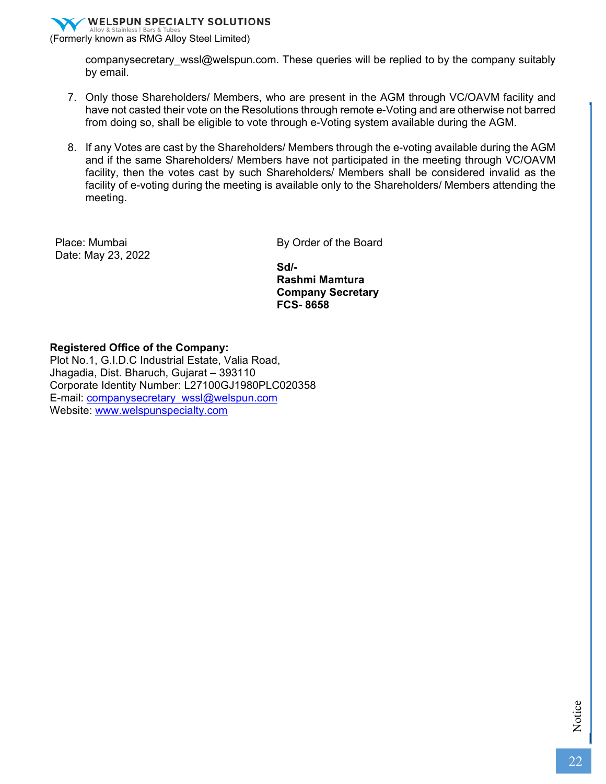

companysecretary\_wssl@welspun.com. These queries will be replied to by the company suitably by email.

- 7. Only those Shareholders/ Members, who are present in the AGM through VC/OAVM facility and have not casted their vote on the Resolutions through remote e-Voting and are otherwise not barred from doing so, shall be eligible to vote through e-Voting system available during the AGM.
- 8. If any Votes are cast by the Shareholders/ Members through the e-voting available during the AGM and if the same Shareholders/ Members have not participated in the meeting through VC/OAVM facility, then the votes cast by such Shareholders/ Members shall be considered invalid as the facility of e-voting during the meeting is available only to the Shareholders/ Members attending the meeting.

Place: Mumbai Date: May 23, 2022 By Order of the Board

**Sd/- Rashmi Mamtura Company Secretary FCS- 8658** 

#### **Registered Office of the Company:**

Plot No.1, G.I.D.C Industrial Estate, Valia Road, Jhagadia, Dist. Bharuch, Gujarat – 393110 Corporate Identity Number: L27100GJ1980PLC020358 E-mail: companysecretary\_wssl@welspun.com Website: www.welspunspecialty.com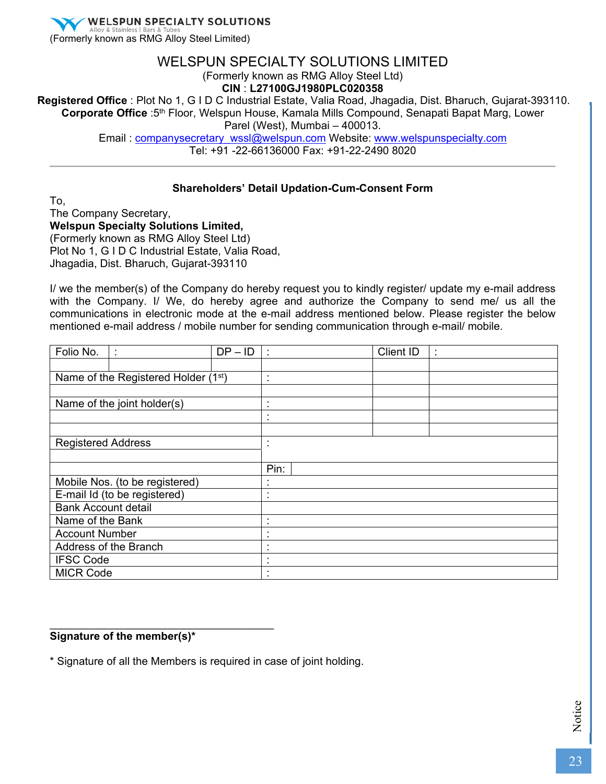**WELSPUN SPECIALTY SOLUTIONS** (Formerly known as RMG Alloy Steel Limited)

## WELSPUN SPECIALTY SOLUTIONS LIMITED

(Formerly known as RMG Alloy Steel Ltd)

**CIN** : **L27100GJ1980PLC020358**

**Registered Office** : Plot No 1, G I D C Industrial Estate, Valia Road, Jhagadia, Dist. Bharuch, Gujarat-393110. **Corporate Office** :5th Floor, Welspun House, Kamala Mills Compound, Senapati Bapat Marg, Lower Parel (West), Mumbai – 400013.

Email : companysecretary\_wssl@welspun.com Website: www.welspunspecialty.com

Tel: +91 -22-66136000 Fax: +91-22-2490 8020

### **Shareholders' Detail Updation-Cum-Consent Form**

To, The Company Secretary, **Welspun Specialty Solutions Limited,**  (Formerly known as RMG Alloy Steel Ltd) Plot No 1, G I D C Industrial Estate, Valia Road, Jhagadia, Dist. Bharuch, Gujarat-393110

I/ we the member(s) of the Company do hereby request you to kindly register/ update my e-mail address with the Company. I/ We, do hereby agree and authorize the Company to send me/ us all the communications in electronic mode at the e-mail address mentioned below. Please register the below mentioned e-mail address / mobile number for sending communication through e-mail/ mobile.

| Folio No.                  |                                     | $DP - ID$ | ÷                                |  | Client ID | ٠ |  |
|----------------------------|-------------------------------------|-----------|----------------------------------|--|-----------|---|--|
|                            |                                     |           |                                  |  |           |   |  |
|                            | Name of the Registered Holder (1st) |           | ٠<br>$\mathbf{r}$                |  |           |   |  |
|                            |                                     |           |                                  |  |           |   |  |
|                            | Name of the joint holder(s)         |           | $\blacksquare$<br>٠              |  |           |   |  |
|                            |                                     |           | $\blacksquare$                   |  |           |   |  |
|                            |                                     |           |                                  |  |           |   |  |
| <b>Registered Address</b>  |                                     |           | ٠<br>$\mathbf{r}$                |  |           |   |  |
|                            |                                     |           |                                  |  |           |   |  |
|                            |                                     |           | Pin:                             |  |           |   |  |
|                            | Mobile Nos. (to be registered)      |           |                                  |  |           |   |  |
|                            | E-mail Id (to be registered)        |           | ٠<br>×                           |  |           |   |  |
| <b>Bank Account detail</b> |                                     |           |                                  |  |           |   |  |
| Name of the Bank           |                                     |           | $\blacksquare$<br>$\blacksquare$ |  |           |   |  |
| <b>Account Number</b>      |                                     |           | ٠                                |  |           |   |  |
|                            | Address of the Branch               |           | $\blacksquare$                   |  |           |   |  |
| <b>IFSC Code</b>           |                                     |           |                                  |  |           |   |  |
| <b>MICR Code</b>           |                                     |           |                                  |  |           |   |  |

### **Signature of the member(s)\***

\_\_\_\_\_\_\_\_\_\_\_\_\_\_\_\_\_\_\_\_\_\_\_\_\_\_\_\_\_\_\_\_\_\_\_\_\_

\* Signature of all the Members is required in case of joint holding.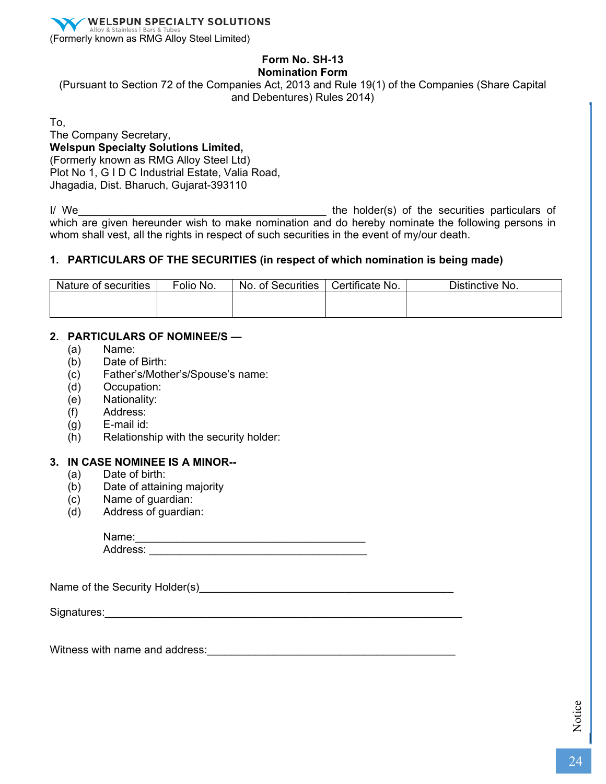

# **Form No. SH-13**

### **Nomination Form**

(Pursuant to Section 72 of the Companies Act, 2013 and Rule 19(1) of the Companies (Share Capital and Debentures) Rules 2014)

To,

The Company Secretary, **Welspun Specialty Solutions Limited,**  (Formerly known as RMG Alloy Steel Ltd) Plot No 1, G I D C Industrial Estate, Valia Road, Jhagadia, Dist. Bharuch, Gujarat-393110

I/ We\_\_\_\_\_\_\_\_\_\_\_\_\_\_\_\_\_\_\_\_\_\_\_\_\_\_\_\_\_\_\_\_\_\_\_\_\_\_\_\_\_ the holder(s) of the securities particulars of which are given hereunder wish to make nomination and do hereby nominate the following persons in whom shall vest, all the rights in respect of such securities in the event of my/our death.

### **1. PARTICULARS OF THE SECURITIES (in respect of which nomination is being made)**

| Nature of securities | Folio No. | No. of Securities | Certificate No. | Distinctive No. |  |
|----------------------|-----------|-------------------|-----------------|-----------------|--|
|                      |           |                   |                 |                 |  |
|                      |           |                   |                 |                 |  |

### **2. PARTICULARS OF NOMINEE/S —**

- (a) Name:
- (b) Date of Birth:
- (c) Father's/Mother's/Spouse's name:
- (d) Occupation:
- (e) Nationality:
- (f) Address:
- (g) E-mail id:
- (h) Relationship with the security holder:

### **3. IN CASE NOMINEE IS A MINOR--**

- (a) Date of birth:
- (b) Date of attaining majority
- (c) Name of guardian:
- (d) Address of guardian:

| Name:    |  |  |  |
|----------|--|--|--|
| Address: |  |  |  |

| Name of the Security Holder(s) |  |
|--------------------------------|--|
|--------------------------------|--|

Signatures:\_\_\_\_\_\_\_\_\_\_\_\_\_\_\_\_\_\_\_\_\_\_\_\_\_\_\_\_\_\_\_\_\_\_\_\_\_\_\_\_\_\_\_\_\_\_\_\_\_\_\_\_\_\_\_\_\_\_\_

Witness with name and address:\_\_\_\_\_\_\_\_\_\_\_\_\_\_\_\_\_\_\_\_\_\_\_\_\_\_\_\_\_\_\_\_\_\_\_\_\_\_\_\_\_